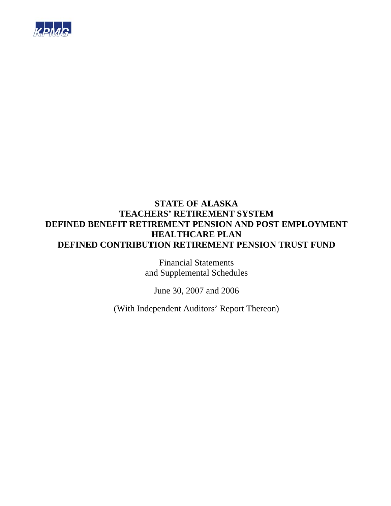

Financial Statements and Supplemental Schedules

June 30, 2007 and 2006

(With Independent Auditors' Report Thereon)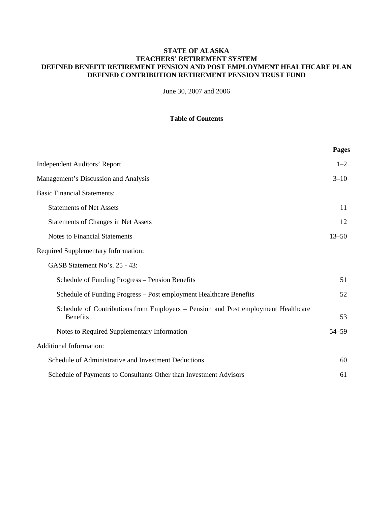June 30, 2007 and 2006

## **Table of Contents**

|                                                                                                      | <b>Pages</b> |
|------------------------------------------------------------------------------------------------------|--------------|
| <b>Independent Auditors' Report</b>                                                                  | $1 - 2$      |
| Management's Discussion and Analysis                                                                 | $3 - 10$     |
| <b>Basic Financial Statements:</b>                                                                   |              |
| <b>Statements of Net Assets</b>                                                                      | 11           |
| <b>Statements of Changes in Net Assets</b>                                                           | 12           |
| <b>Notes to Financial Statements</b>                                                                 | $13 - 50$    |
| <b>Required Supplementary Information:</b>                                                           |              |
| GASB Statement No's. 25 - 43:                                                                        |              |
| Schedule of Funding Progress – Pension Benefits                                                      | 51           |
| Schedule of Funding Progress – Post employment Healthcare Benefits                                   | 52           |
| Schedule of Contributions from Employers – Pension and Post employment Healthcare<br><b>Benefits</b> | 53           |
| Notes to Required Supplementary Information                                                          | 54-59        |
| <b>Additional Information:</b>                                                                       |              |
| Schedule of Administrative and Investment Deductions                                                 | 60           |
| Schedule of Payments to Consultants Other than Investment Advisors                                   | 61           |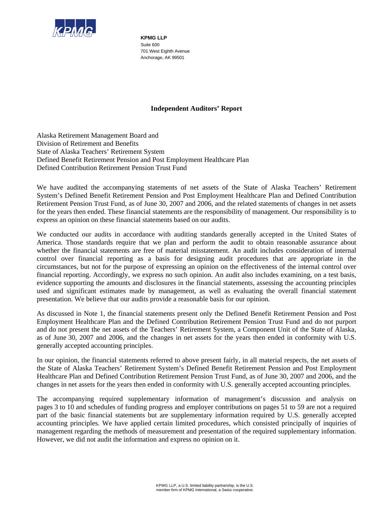

**KPMG LLP**  Suite 600 701 West Eighth Avenue Anchorage, AK 99501

## **Independent Auditors' Report**

Alaska Retirement Management Board and Division of Retirement and Benefits State of Alaska Teachers' Retirement System Defined Benefit Retirement Pension and Post Employment Healthcare Plan Defined Contribution Retirement Pension Trust Fund

We have audited the accompanying statements of net assets of the State of Alaska Teachers' Retirement System's Defined Benefit Retirement Pension and Post Employment Healthcare Plan and Defined Contribution Retirement Pension Trust Fund, as of June 30, 2007 and 2006, and the related statements of changes in net assets for the years then ended. These financial statements are the responsibility of management. Our responsibility is to express an opinion on these financial statements based on our audits.

We conducted our audits in accordance with auditing standards generally accepted in the United States of America. Those standards require that we plan and perform the audit to obtain reasonable assurance about whether the financial statements are free of material misstatement. An audit includes consideration of internal control over financial reporting as a basis for designing audit procedures that are appropriate in the circumstances, but not for the purpose of expressing an opinion on the effectiveness of the internal control over financial reporting. Accordingly, we express no such opinion. An audit also includes examining, on a test basis, evidence supporting the amounts and disclosures in the financial statements, assessing the accounting principles used and significant estimates made by management, as well as evaluating the overall financial statement presentation. We believe that our audits provide a reasonable basis for our opinion.

As discussed in Note 1, the financial statements present only the Defined Benefit Retirement Pension and Post Employment Healthcare Plan and the Defined Contribution Retirement Pension Trust Fund and do not purport and do not present the net assets of the Teachers' Retirement System, a Component Unit of the State of Alaska, as of June 30, 2007 and 2006, and the changes in net assets for the years then ended in conformity with U.S. generally accepted accounting principles.

In our opinion, the financial statements referred to above present fairly, in all material respects, the net assets of the State of Alaska Teachers' Retirement System's Defined Benefit Retirement Pension and Post Employment Healthcare Plan and Defined Contribution Retirement Pension Trust Fund, as of June 30, 2007 and 2006, and the changes in net assets for the years then ended in conformity with U.S. generally accepted accounting principles.

The accompanying required supplementary information of management's discussion and analysis on pages 3 to 10 and schedules of funding progress and employer contributions on pages 51 to 59 are not a required part of the basic financial statements but are supplementary information required by U.S. generally accepted accounting principles. We have applied certain limited procedures, which consisted principally of inquiries of management regarding the methods of measurement and presentation of the required supplementary information. However, we did not audit the information and express no opinion on it.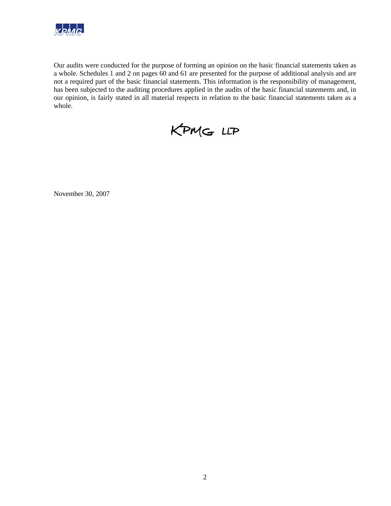

Our audits were conducted for the purpose of forming an opinion on the basic financial statements taken as a whole. Schedules 1 and 2 on pages 60 and 61 are presented for the purpose of additional analysis and are not a required part of the basic financial statements. This information is the responsibility of management, has been subjected to the auditing procedures applied in the audits of the basic financial statements and, in our opinion, is fairly stated in all material respects in relation to the basic financial statements taken as a whole.



November 30, 2007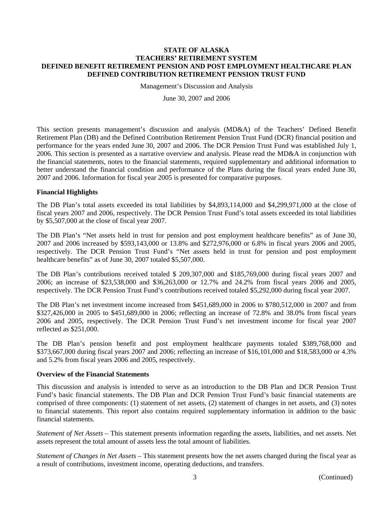Management's Discussion and Analysis

June 30, 2007 and 2006

This section presents management's discussion and analysis (MD&A) of the Teachers' Defined Benefit Retirement Plan (DB) and the Defined Contribution Retirement Pension Trust Fund (DCR) financial position and performance for the years ended June 30, 2007 and 2006. The DCR Pension Trust Fund was established July 1, 2006. This section is presented as a narrative overview and analysis. Please read the MD&A in conjunction with the financial statements, notes to the financial statements, required supplementary and additional information to better understand the financial condition and performance of the Plans during the fiscal years ended June 30, 2007 and 2006. Information for fiscal year 2005 is presented for comparative purposes.

### **Financial Highlights**

The DB Plan's total assets exceeded its total liabilities by \$4,893,114,000 and \$4,299,971,000 at the close of fiscal years 2007 and 2006, respectively. The DCR Pension Trust Fund's total assets exceeded its total liabilities by \$5,507,000 at the close of fiscal year 2007.

The DB Plan's "Net assets held in trust for pension and post employment healthcare benefits" as of June 30, 2007 and 2006 increased by \$593,143,000 or 13.8% and \$272,976,000 or 6.8% in fiscal years 2006 and 2005, respectively. The DCR Pension Trust Fund's "Net assets held in trust for pension and post employment healthcare benefits" as of June 30, 2007 totaled \$5,507,000.

The DB Plan's contributions received totaled \$ 209,307,000 and \$185,769,000 during fiscal years 2007 and 2006; an increase of \$23,538,000 and \$36,263,000 or 12.7% and 24.2% from fiscal years 2006 and 2005, respectively. The DCR Pension Trust Fund's contributions received totaled \$5,292,000 during fiscal year 2007.

The DB Plan's net investment income increased from \$451,689,000 in 2006 to \$780,512,000 in 2007 and from \$327,426,000 in 2005 to \$451,689,000 in 2006; reflecting an increase of 72.8% and 38.0% from fiscal years 2006 and 2005, respectively. The DCR Pension Trust Fund's net investment income for fiscal year 2007 reflected as \$251,000.

The DB Plan's pension benefit and post employment healthcare payments totaled \$389,768,000 and \$373,667,000 during fiscal years 2007 and 2006; reflecting an increase of \$16,101,000 and \$18,583,000 or 4.3% and 5.2% from fiscal years 2006 and 2005, respectively.

#### **Overview of the Financial Statements**

This discussion and analysis is intended to serve as an introduction to the DB Plan and DCR Pension Trust Fund's basic financial statements. The DB Plan and DCR Pension Trust Fund's basic financial statements are comprised of three components: (1) statement of net assets, (2) statement of changes in net assets, and (3) notes to financial statements. This report also contains required supplementary information in addition to the basic financial statements.

*Statement of Net Assets –* This statement presents information regarding the assets, liabilities, and net assets. Net assets represent the total amount of assets less the total amount of liabilities.

*Statement of Changes in Net Assets –* This statement presents how the net assets changed during the fiscal year as a result of contributions, investment income, operating deductions, and transfers.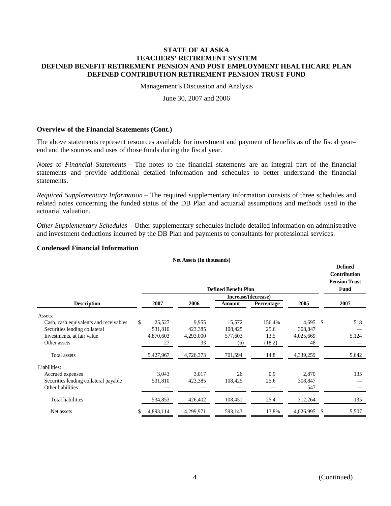Management's Discussion and Analysis

June 30, 2007 and 2006

#### **Overview of the Financial Statements (Cont.)**

The above statements represent resources available for investment and payment of benefits as of the fiscal year– end and the sources and uses of those funds during the fiscal year.

*Notes to Financial Statements –* The notes to the financial statements are an integral part of the financial statements and provide additional detailed information and schedules to better understand the financial statements.

*Required Supplementary Information –* The required supplementary information consists of three schedules and related notes concerning the funded status of the DB Plan and actuarial assumptions and methods used in the actuarial valuation.

*Other Supplementary Schedules –* Other supplementary schedules include detailed information on administrative and investment deductions incurred by the DB Plan and payments to consultants for professional services.

#### **Condensed Financial Information**

#### **Net Assets (In thousands)**

|                                        |    |           |           | <b>Defined Benefit Plan</b> |                     |                  | <b>Defined</b><br>Contribution<br><b>Pension Trust</b><br>Fund |
|----------------------------------------|----|-----------|-----------|-----------------------------|---------------------|------------------|----------------------------------------------------------------|
|                                        |    |           |           |                             | Increase/(decrease) |                  |                                                                |
| <b>Description</b>                     |    | 2007      | 2006      | Amount                      | Percentage          | 2005             | 2007                                                           |
| Assets:                                |    |           |           |                             |                     |                  |                                                                |
| Cash, cash equivalents and receivables | \$ | 25,527    | 9,955     | 15,572                      | 156.4%              | 4,695 \$         | 518                                                            |
| Securities lending collateral          |    | 531,810   | 423,385   | 108,425                     | 25.6                | 308,847          |                                                                |
| Investments, at fair value             |    | 4,870,603 | 4,293,000 | 577,603                     | 13.5                | 4,025,669        | 5,124                                                          |
| Other assets                           |    | 27        | 33        | (6)                         | (18.2)              | 48               |                                                                |
| Total assets                           |    | 5,427,967 | 4,726,373 | 701,594                     | 14.8                | 4,339,259        | 5,642                                                          |
| Liabilities:                           |    |           |           |                             |                     |                  |                                                                |
| Accrued expenses                       |    | 3,043     | 3,017     | 26                          | 0.9                 | 2,870            | 135                                                            |
| Securities lending collateral payable  |    | 531,810   | 423,385   | 108,425                     | 25.6                | 308,847          |                                                                |
| Other liabilities                      |    |           |           |                             |                     | 547              |                                                                |
| <b>Total liabilities</b>               |    | 534,853   | 426,402   | 108,451                     | 25.4                | 312,264          | 135                                                            |
| Net assets                             | S  | 4,893,114 | 4,299,971 | 593,143                     | 13.8%               | 4,026,995<br>\$. | 5,507                                                          |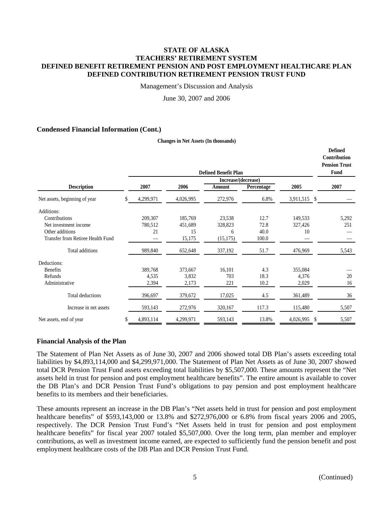Management's Discussion and Analysis

June 30, 2007 and 2006

#### **Condensed Financial Information (Cont.)**

|                                   |                  | Contribution<br><b>Pension Trust</b><br>Fund |                     |            |              |       |
|-----------------------------------|------------------|----------------------------------------------|---------------------|------------|--------------|-------|
|                                   |                  |                                              | Increase/(decrease) |            |              |       |
| <b>Description</b>                | 2007             | 2006                                         | Amount              | Percentage | 2005         | 2007  |
| Net assets, beginning of year     | \$.<br>4,299,971 | 4,026,995                                    | 272,976             | 6.8%       | 3,911,515 \$ |       |
| Additions:                        |                  |                                              |                     |            |              |       |
| Contributions                     | 209,307          | 185,769                                      | 23,538              | 12.7       | 149,533      | 5,292 |
| Net investment income             | 780,512          | 451,689                                      | 328,823             | 72.8       | 327,426      | 251   |
| Other additions                   | 21               | 15                                           | 6                   | 40.0       | 10           |       |
| Transfer from Retiree Health Fund |                  | 15,175                                       | (15, 175)           | 100.0      |              |       |
| Total additions                   | 989,840          | 652,648                                      | 337,192             | 51.7       | 476,969      | 5,543 |
| Deductions:                       |                  |                                              |                     |            |              |       |
| <b>Benefits</b>                   | 389,768          | 373,667                                      | 16,101              | 4.3        | 355,084      |       |
| Refunds                           | 4,535            | 3,832                                        | 703                 | 18.3       | 4,376        | 20    |
| Administrative                    | 2,394            | 2,173                                        | 221                 | 10.2       | 2,029        | 16    |
| Total deductions                  | 396,697          | 379,672                                      | 17,025              | 4.5        | 361,489      | 36    |
| Increase in net assets            | 593,143          | 272,976                                      | 320,167             | 117.3      | 115,480      | 5,507 |
| Net assets, end of year           | \$<br>4,893,114  | 4,299,971                                    | 593,143             | 13.8%      | 4,026,995 \$ | 5,507 |

#### **Changes in Net Assets (In thousands)**

## **Financial Analysis of the Plan**

The Statement of Plan Net Assets as of June 30, 2007 and 2006 showed total DB Plan's assets exceeding total liabilities by \$4,893,114,000 and \$4,299,971,000. The Statement of Plan Net Assets as of June 30, 2007 showed total DCR Pension Trust Fund assets exceeding total liabilities by \$5,507,000. These amounts represent the "Net assets held in trust for pension and post employment healthcare benefits". The entire amount is available to cover the DB Plan's and DCR Pension Trust Fund's obligations to pay pension and post employment healthcare benefits to its members and their beneficiaries.

These amounts represent an increase in the DB Plan's "Net assets held in trust for pension and post employment healthcare benefits" of \$593,143,000 or 13.8% and \$272,976,000 or 6.8% from fiscal years 2006 and 2005, respectively. The DCR Pension Trust Fund's "Net Assets held in trust for pension and post employment healthcare benefits" for fiscal year 2007 totaled \$5,507,000. Over the long term, plan member and employer contributions, as well as investment income earned, are expected to sufficiently fund the pension benefit and post employment healthcare costs of the DB Plan and DCR Pension Trust Fund.

**Defined**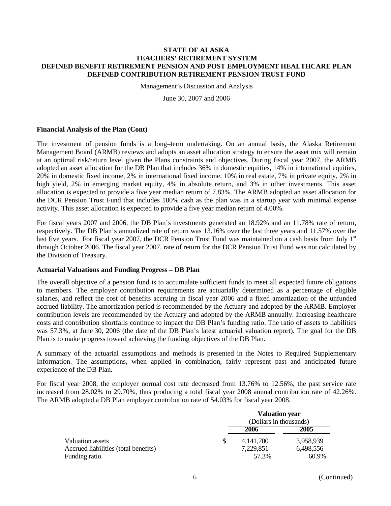Management's Discussion and Analysis

June 30, 2007 and 2006

#### **Financial Analysis of the Plan (Cont)**

The investment of pension funds is a long–term undertaking. On an annual basis, the Alaska Retirement Management Board (ARMB) reviews and adopts an asset allocation strategy to ensure the asset mix will remain at an optimal risk/return level given the Plans constraints and objectives. During fiscal year 2007, the ARMB adopted an asset allocation for the DB Plan that includes 36% in domestic equities, 14% in international equities, 20% in domestic fixed income, 2% in international fixed income, 10% in real estate, 7% in private equity, 2% in high yield, 2% in emerging market equity, 4% in absolute return, and 3% in other investments. This asset allocation is expected to provide a five year median return of 7.83%. The ARMB adopted an asset allocation for the DCR Pension Trust Fund that includes 100% cash as the plan was in a startup year with minimal expense activity. This asset allocation is expected to provide a five year median return of 4.00%.

For fiscal years 2007 and 2006, the DB Plan's investments generated an 18.92% and an 11.78% rate of return, respectively. The DB Plan's annualized rate of return was 13.16% over the last three years and 11.57% over the last five years. For fiscal year 2007, the DCR Pension Trust Fund was maintained on a cash basis from July  $1<sup>st</sup>$ through October 2006. The fiscal year 2007, rate of return for the DCR Pension Trust Fund was not calculated by the Division of Treasury.

#### **Actuarial Valuations and Funding Progress – DB Plan**

The overall objective of a pension fund is to accumulate sufficient funds to meet all expected future obligations to members. The employer contribution requirements are actuarially determined as a percentage of eligible salaries, and reflect the cost of benefits accruing in fiscal year 2006 and a fixed amortization of the unfunded accrued liability. The amortization period is recommended by the Actuary and adopted by the ARMB. Employer contribution levels are recommended by the Actuary and adopted by the ARMB annually. Increasing healthcare costs and contribution shortfalls continue to impact the DB Plan's funding ratio. The ratio of assets to liabilities was 57.3%, at June 30, 2006 (the date of the DB Plan's latest actuarial valuation report). The goal for the DB Plan is to make progress toward achieving the funding objectives of the DB Plan.

A summary of the actuarial assumptions and methods is presented in the Notes to Required Supplementary Information. The assumptions, when applied in combination, fairly represent past and anticipated future experience of the DB Plan.

For fiscal year 2008, the employer normal cost rate decreased from 13.76% to 12.56%, the past service rate increased from 28.02% to 29.70%, thus producing a total fiscal year 2008 annual contribution rate of 42.26%. The ARMB adopted a DB Plan employer contribution rate of 54.03% for fiscal year 2008.

|                                      |   | <b>Valuation year</b>  |           |  |  |
|--------------------------------------|---|------------------------|-----------|--|--|
|                                      |   | (Dollars in thousands) |           |  |  |
|                                      |   | 2006                   | 2005      |  |  |
| Valuation assets                     | S | 4, 141, 700            | 3,958,939 |  |  |
| Accrued liabilities (total benefits) |   | 7,229,851              | 6,498,556 |  |  |
| Funding ratio                        |   | 57.3%                  | 60.9%     |  |  |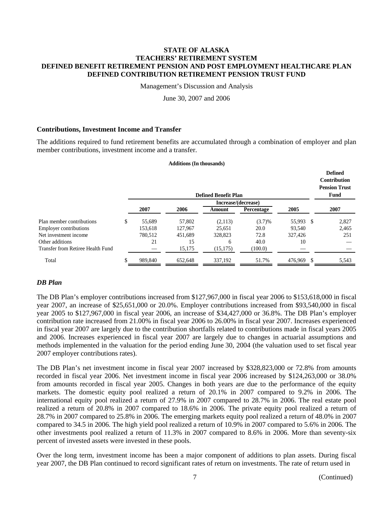Management's Discussion and Analysis

June 30, 2007 and 2006

#### **Contributions, Investment Income and Transfer**

The additions required to fund retirement benefits are accumulated through a combination of employer and plan member contributions, investment income and a transfer.

#### **Additions (In thousands)**

|                                   |    | <b>Defined Benefit Plan</b> |         |           |            |                |       |  |  |
|-----------------------------------|----|-----------------------------|---------|-----------|------------|----------------|-------|--|--|
|                                   |    |                             |         |           |            |                |       |  |  |
|                                   |    | 2007                        | 2006    | Amount    | Percentage | 2005           | 2007  |  |  |
| Plan member contributions         | \$ | 55,689                      | 57,802  | (2,113)   | (3.7)%     | 55,993<br>- \$ | 2,827 |  |  |
| <b>Employer contributions</b>     |    | 153.618                     | 127,967 | 25.651    | 20.0       | 93.540         | 2.465 |  |  |
| Net investment income             |    | 780.512                     | 451,689 | 328,823   | 72.8       | 327,426        | 251   |  |  |
| Other additions                   |    | 21                          | 15      | 6         | 40.0       | 10             |       |  |  |
| Transfer from Retiree Health Fund |    |                             | 15,175  | (15, 175) | (100.0)    |                |       |  |  |
| Total                             | D  | 989,840                     | 652,648 | 337,192   | 51.7%      | 476,969        | 5,543 |  |  |

# *DB Plan*

The DB Plan's employer contributions increased from \$127,967,000 in fiscal year 2006 to \$153,618,000 in fiscal year 2007, an increase of \$25,651,000 or 20.0%. Employer contributions increased from \$93,540,000 in fiscal year 2005 to \$127,967,000 in fiscal year 2006, an increase of \$34,427,000 or 36.8%. The DB Plan's employer contribution rate increased from 21.00% in fiscal year 2006 to 26.00% in fiscal year 2007. Increases experienced in fiscal year 2007 are largely due to the contribution shortfalls related to contributions made in fiscal years 2005 and 2006. Increases experienced in fiscal year 2007 are largely due to changes in actuarial assumptions and methods implemented in the valuation for the period ending June 30, 2004 (the valuation used to set fiscal year 2007 employer contributions rates).

The DB Plan's net investment income in fiscal year 2007 increased by \$328,823,000 or 72.8% from amounts recorded in fiscal year 2006. Net investment income in fiscal year 2006 increased by \$124,263,000 or 38.0% from amounts recorded in fiscal year 2005. Changes in both years are due to the performance of the equity markets. The domestic equity pool realized a return of 20.1% in 2007 compared to 9.2% in 2006. The international equity pool realized a return of 27.9% in 2007 compared to 28.7% in 2006. The real estate pool realized a return of 20.8% in 2007 compared to 18.6% in 2006. The private equity pool realized a return of 28.7% in 2007 compared to 25.8% in 2006. The emerging markets equity pool realized a return of 48.0% in 2007 compared to 34.5 in 2006. The high yield pool realized a return of 10.9% in 2007 compared to 5.6% in 2006. The other investments pool realized a return of 11.3% in 2007 compared to 8.6% in 2006. More than seventy-six percent of invested assets were invested in these pools.

Over the long term, investment income has been a major component of additions to plan assets. During fiscal year 2007, the DB Plan continued to record significant rates of return on investments. The rate of return used in

**Defined**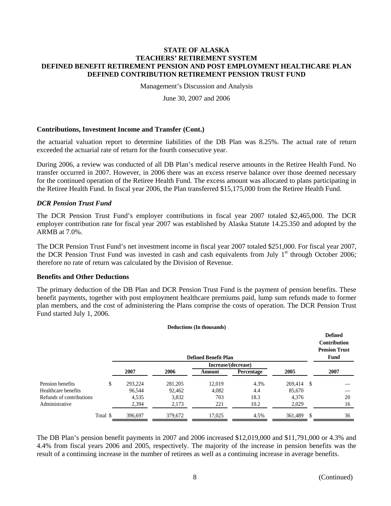Management's Discussion and Analysis

June 30, 2007 and 2006

#### **Contributions, Investment Income and Transfer (Cont.)**

the actuarial valuation report to determine liabilities of the DB Plan was 8.25%. The actual rate of return exceeded the actuarial rate of return for the fourth consecutive year.

During 2006, a review was conducted of all DB Plan's medical reserve amounts in the Retiree Health Fund. No transfer occurred in 2007. However, in 2006 there was an excess reserve balance over those deemed necessary for the continued operation of the Retiree Health Fund. The excess amount was allocated to plans participating in the Retiree Health Fund. In fiscal year 2006, the Plan transferred \$15,175,000 from the Retiree Health Fund.

### *DCR Pension Trust Fund*

The DCR Pension Trust Fund's employer contributions in fiscal year 2007 totaled \$2,465,000. The DCR employer contribution rate for fiscal year 2007 was established by Alaska Statute 14.25.350 and adopted by the ARMB at 7.0%.

The DCR Pension Trust Fund's net investment income in fiscal year 2007 totaled \$251,000. For fiscal year 2007, the DCR Pension Trust Fund was invested in cash and cash equivalents from July  $1<sup>st</sup>$  through October 2006; therefore no rate of return was calculated by the Division of Revenue.

#### **Benefits and Other Deductions**

The primary deduction of the DB Plan and DCR Pension Trust Fund is the payment of pension benefits. These benefit payments, together with post employment healthcare premiums paid, lump sum refunds made to former plan members, and the cost of administering the Plans comprise the costs of operation. The DCR Pension Trust Fund started July 1, 2006.

|                          |          |                             |         | <b>Deductions (In thousands)</b> |            |            |     |      |  |
|--------------------------|----------|-----------------------------|---------|----------------------------------|------------|------------|-----|------|--|
|                          |          | <b>Defined Benefit Plan</b> |         |                                  |            |            |     |      |  |
|                          |          |                             |         | Increase/(decrease)              |            |            |     |      |  |
|                          |          | 2007                        | 2006    | Amount                           | Percentage | 2005       |     | 2007 |  |
| Pension benefits         | \$       | 293.224                     | 281.205 | 12.019                           | 4.3%       | 269.414 \$ |     |      |  |
| Healthcare benefits      |          | 96.544                      | 92,462  | 4,082                            | 4.4        | 85,670     |     |      |  |
| Refunds of contributions |          | 4,535                       | 3,832   | 703                              | 18.3       | 4.376      |     | 20   |  |
| Administrative           |          | 2,394                       | 2,173   | 221                              | 10.2       | 2,029      |     | 16   |  |
|                          | Total \$ | 396,697                     | 379,672 | 17,025                           | 4.5%       | 361,489    | \$. | 36   |  |

The DB Plan's pension benefit payments in 2007 and 2006 increased \$12,019,000 and \$11,791,000 or 4.3% and 4.4% from fiscal years 2006 and 2005, respectively. The majority of the increase in pension benefits was the result of a continuing increase in the number of retirees as well as a continuing increase in average benefits.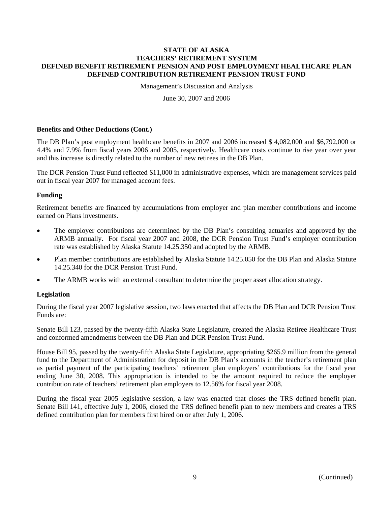Management's Discussion and Analysis

June 30, 2007 and 2006

#### **Benefits and Other Deductions (Cont.)**

The DB Plan's post employment healthcare benefits in 2007 and 2006 increased \$ 4,082,000 and \$6,792,000 or 4.4% and 7.9% from fiscal years 2006 and 2005, respectively. Healthcare costs continue to rise year over year and this increase is directly related to the number of new retirees in the DB Plan.

The DCR Pension Trust Fund reflected \$11,000 in administrative expenses, which are management services paid out in fiscal year 2007 for managed account fees.

### **Funding**

Retirement benefits are financed by accumulations from employer and plan member contributions and income earned on Plans investments.

- The employer contributions are determined by the DB Plan's consulting actuaries and approved by the ARMB annually. For fiscal year 2007 and 2008, the DCR Pension Trust Fund's employer contribution rate was established by Alaska Statute 14.25.350 and adopted by the ARMB.
- Plan member contributions are established by Alaska Statute 14.25.050 for the DB Plan and Alaska Statute 14.25.340 for the DCR Pension Trust Fund.
- The ARMB works with an external consultant to determine the proper asset allocation strategy.

#### **Legislation**

During the fiscal year 2007 legislative session, two laws enacted that affects the DB Plan and DCR Pension Trust Funds are:

Senate Bill 123, passed by the twenty-fifth Alaska State Legislature, created the Alaska Retiree Healthcare Trust and conformed amendments between the DB Plan and DCR Pension Trust Fund.

House Bill 95, passed by the twenty-fifth Alaska State Legislature, appropriating \$265.9 million from the general fund to the Department of Administration for deposit in the DB Plan's accounts in the teacher's retirement plan as partial payment of the participating teachers' retirement plan employers' contributions for the fiscal year ending June 30, 2008. This appropriation is intended to be the amount required to reduce the employer contribution rate of teachers' retirement plan employers to 12.56% for fiscal year 2008.

During the fiscal year 2005 legislative session, a law was enacted that closes the TRS defined benefit plan. Senate Bill 141, effective July 1, 2006, closed the TRS defined benefit plan to new members and creates a TRS defined contribution plan for members first hired on or after July 1, 2006.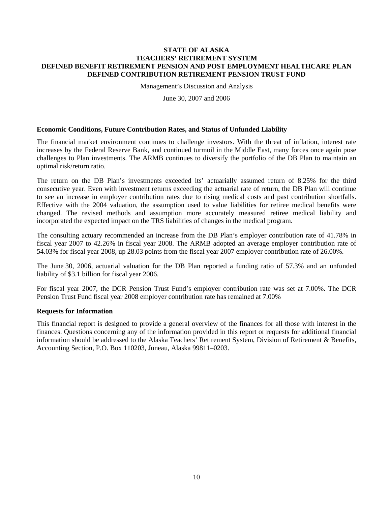Management's Discussion and Analysis

June 30, 2007 and 2006

#### **Economic Conditions, Future Contribution Rates, and Status of Unfunded Liability**

The financial market environment continues to challenge investors. With the threat of inflation, interest rate increases by the Federal Reserve Bank, and continued turmoil in the Middle East, many forces once again pose challenges to Plan investments. The ARMB continues to diversify the portfolio of the DB Plan to maintain an optimal risk/return ratio.

The return on the DB Plan's investments exceeded its' actuarially assumed return of 8.25% for the third consecutive year. Even with investment returns exceeding the actuarial rate of return, the DB Plan will continue to see an increase in employer contribution rates due to rising medical costs and past contribution shortfalls. Effective with the 2004 valuation, the assumption used to value liabilities for retiree medical benefits were changed. The revised methods and assumption more accurately measured retiree medical liability and incorporated the expected impact on the TRS liabilities of changes in the medical program.

The consulting actuary recommended an increase from the DB Plan's employer contribution rate of 41.78% in fiscal year 2007 to 42.26% in fiscal year 2008. The ARMB adopted an average employer contribution rate of 54.03% for fiscal year 2008, up 28.03 points from the fiscal year 2007 employer contribution rate of 26.00%.

The June 30, 2006, actuarial valuation for the DB Plan reported a funding ratio of 57.3% and an unfunded liability of \$3.1 billion for fiscal year 2006.

For fiscal year 2007, the DCR Pension Trust Fund's employer contribution rate was set at 7.00%. The DCR Pension Trust Fund fiscal year 2008 employer contribution rate has remained at 7.00%

#### **Requests for Information**

This financial report is designed to provide a general overview of the finances for all those with interest in the finances. Questions concerning any of the information provided in this report or requests for additional financial information should be addressed to the Alaska Teachers' Retirement System, Division of Retirement & Benefits, Accounting Section, P.O. Box 110203, Juneau, Alaska 99811–0203.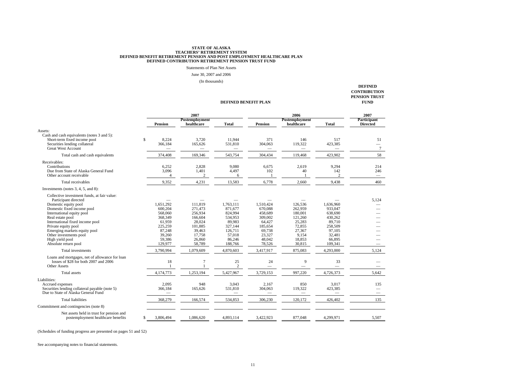# STATE OF ALASKA<br>TEACHERS' RETIREMENT PENSION AND POST EMPLOYMENT HEALTHCARE PLAN<br>DEFINED CONTRIBUTION RETIREMENT PENSION TRUST FUND<br>DEFINED CONTRIBUTION RETIREMENT PENSION TRUST FUND

Statements of Plan Net Assets

June 30, 2007 and 2006

(In thousands)

#### **DEFINED BENEFIT PLAN**

**DEFINED CONTRIBUTION PENSION TRUST FUND**

|                                                                                                                                                                                                                                                                                                                                           |     | 2007                                                                                                     |                                                                                                       |                                                                                                           |                                                                                                         | 2007                                                                                                |                                                                                                          |                                                   |
|-------------------------------------------------------------------------------------------------------------------------------------------------------------------------------------------------------------------------------------------------------------------------------------------------------------------------------------------|-----|----------------------------------------------------------------------------------------------------------|-------------------------------------------------------------------------------------------------------|-----------------------------------------------------------------------------------------------------------|---------------------------------------------------------------------------------------------------------|-----------------------------------------------------------------------------------------------------|----------------------------------------------------------------------------------------------------------|---------------------------------------------------|
|                                                                                                                                                                                                                                                                                                                                           |     |                                                                                                          | Postemployment                                                                                        |                                                                                                           |                                                                                                         | Postemployment                                                                                      |                                                                                                          | Participant                                       |
|                                                                                                                                                                                                                                                                                                                                           |     | <b>Pension</b>                                                                                           | healthcare                                                                                            | <b>Total</b>                                                                                              | Pension                                                                                                 | healthcare                                                                                          | <b>Total</b>                                                                                             | <b>Directed</b>                                   |
| Assets:<br>Cash and cash equivalents (notes 3 and 5):<br>Short-term fixed income pool<br>Securities lending collateral<br><b>Great West Account</b>                                                                                                                                                                                       | \$. | 8.224<br>366,184                                                                                         | 3.720<br>165,626                                                                                      | 11.944<br>531,810                                                                                         | 371<br>304,063                                                                                          | 146<br>119,322                                                                                      | 517<br>423,385                                                                                           | 51<br>$\overline{\phantom{0}}$<br>$7\phantom{.0}$ |
| Total cash and cash equivalents                                                                                                                                                                                                                                                                                                           |     | 374,408                                                                                                  | 169,346                                                                                               | 543,754                                                                                                   | 304,434                                                                                                 | 119,468                                                                                             | 423,902                                                                                                  | 58                                                |
| Receivables:<br>Contributions<br>Due from State of Alaska General Fund<br>Other account receivable                                                                                                                                                                                                                                        |     | 6.252<br>3,096<br>Δ                                                                                      | 2,828<br>1,401<br>$\mathbf{2}$                                                                        | 9.080<br>4,497<br>6                                                                                       | 6.675<br>102                                                                                            | 2.619<br>40                                                                                         | 9.294<br>142<br>$\overline{2}$                                                                           | 214<br>246<br>$\overbrace{\qquad \qquad }^{}$     |
| Total receivables                                                                                                                                                                                                                                                                                                                         |     | 9,352                                                                                                    | 4,231                                                                                                 | 13,583                                                                                                    | 6.778                                                                                                   | 2,660                                                                                               | 9,438                                                                                                    | 460                                               |
| Investments (notes $3, 4, 5,$ and $8$ ):                                                                                                                                                                                                                                                                                                  |     |                                                                                                          |                                                                                                       |                                                                                                           |                                                                                                         |                                                                                                     |                                                                                                          |                                                   |
| Collective investment funds, at fair value:<br>Participant directed<br>Domestic equity pool<br>Domestic fixed income pool<br>International equity pool<br>Real estate pool<br>International fixed income pool<br>Private equity pool<br>Emerging markets equity pool<br>Other investments pool<br>High yield pool<br>Absolute return pool |     | 1.651.292<br>600,204<br>568,060<br>368,349<br>61,959<br>225,259<br>87.248<br>39,260<br>59,386<br>129,977 | 111.819<br>271.473<br>256,934<br>166,604<br>28,024<br>101,885<br>39,463<br>17,758<br>26,860<br>58,789 | 1.763.111<br>871,677<br>824,994<br>534,953<br>89,983<br>327.144<br>126.711<br>57,018<br>86,246<br>188,766 | 1.510.424<br>670.088<br>458,689<br>309,002<br>64,427<br>185,654<br>69,738<br>23,327<br>48,042<br>78,526 | 126,536<br>262,959<br>180,001<br>121,260<br>25,283<br>72,855<br>27,367<br>9.154<br>18,853<br>30,815 | 1.636.960<br>933,047<br>638,690<br>430,262<br>89,710<br>258,509<br>97.105<br>32,481<br>66,895<br>109,341 | 5.124                                             |
| Total investments                                                                                                                                                                                                                                                                                                                         |     | 3,790,994                                                                                                | 1,079,609                                                                                             | 4,870,603                                                                                                 | 3,417,917                                                                                               | 875,083                                                                                             | 4,293,000                                                                                                | 5.124                                             |
| Loans and mortgages, net of allowance for loan<br>losses of \$28 for both 2007 and 2006<br><b>Other Assets</b>                                                                                                                                                                                                                            |     | 18<br>$\mathbf{1}$                                                                                       | 7                                                                                                     | $25\,$<br>$\overline{c}$                                                                                  | 24<br>$\overline{\phantom{0}}$                                                                          | 9                                                                                                   | 33<br>$\overline{\phantom{0}}$                                                                           |                                                   |
| Total assets                                                                                                                                                                                                                                                                                                                              |     | 4,174,773                                                                                                | 1,253,194                                                                                             | 5,427,967                                                                                                 | 3,729,153                                                                                               | 997,220                                                                                             | 4,726,373                                                                                                | 5.642                                             |
| Liabilities:<br>Accrued expenses<br>Securities lending collateral payable (note 5)<br>Due to State of Alaska General Fund                                                                                                                                                                                                                 |     | 2,095<br>366,184                                                                                         | 948<br>165,626                                                                                        | 3,043<br>531,810                                                                                          | 2,167<br>304,063                                                                                        | 850<br>119,322                                                                                      | 3,017<br>423,385                                                                                         | 135                                               |
| <b>Total liabilities</b>                                                                                                                                                                                                                                                                                                                  |     | 368,279                                                                                                  | 166,574                                                                                               | 534,853                                                                                                   | 306,230                                                                                                 | 120,172                                                                                             | 426,402                                                                                                  | 135                                               |
| Commitment and contingencies (note 8)                                                                                                                                                                                                                                                                                                     |     |                                                                                                          |                                                                                                       |                                                                                                           |                                                                                                         |                                                                                                     |                                                                                                          |                                                   |
| Net assets held in trust for pension and<br>postemployment healthcare benefits                                                                                                                                                                                                                                                            | \$  | 3.806.494                                                                                                | 1.086.620                                                                                             | 4,893,114                                                                                                 | 3.422.923                                                                                               | 877,048                                                                                             | 4,299,971                                                                                                | 5,507                                             |

(Schedules of funding progress are presented on pages 51 and 52)

See accompanying notes to financial statements.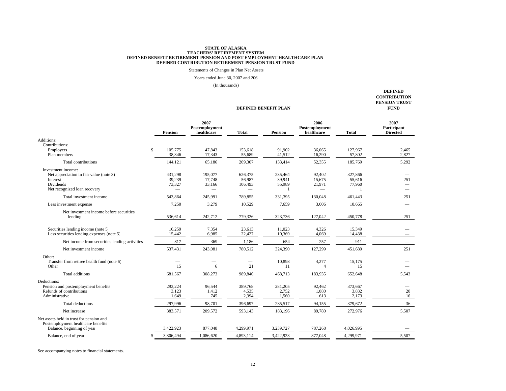Statements of Changes in Plan Net Assets

Years ended June 30, 2007 and 206

(In thousands)

**DEFINED BENEFIT PLAN**

**DEFINED CONTRIBUTION PENSION TRUST FUND**

| <b>Pension</b>                                                                                                                                                                    | Postemployment<br>healthcare<br><b>Total</b>                                                                               | <b>Pension</b>              | Postemployment                                         |                             | Participant     |
|-----------------------------------------------------------------------------------------------------------------------------------------------------------------------------------|----------------------------------------------------------------------------------------------------------------------------|-----------------------------|--------------------------------------------------------|-----------------------------|-----------------|
|                                                                                                                                                                                   |                                                                                                                            |                             | healthcare                                             | <b>Total</b>                | <b>Directed</b> |
| Additions:<br>Contributions:<br>$\mathcal{S}$<br>105,775<br>Employers                                                                                                             | 47,843<br>153,618                                                                                                          | 91,902                      | 36,065                                                 | 127,967                     | 2,465           |
| 38,346<br>Plan members                                                                                                                                                            | 17,343<br>55,689                                                                                                           | 41,512                      | 16,290                                                 | 57,802                      | 2,827           |
| <b>Total contributions</b><br>144,121                                                                                                                                             | 65,186<br>209,307                                                                                                          | 133,414                     | 52,355                                                 | 185,769                     | 5,292           |
| Investment income:<br>Net appreciation in fair value (note 3)<br>431,298<br>39,239<br>Interest<br><b>Dividends</b><br>73,327<br>Net recognized loan recovery<br>$\qquad \qquad -$ | 195,077<br>626,375<br>17,748<br>56,987<br>33,166<br>106,493<br>$\hspace{0.1mm}-\hspace{0.1mm}$<br>$\overline{\phantom{0}}$ | 235,464<br>39,941<br>55,989 | 92,402<br>15,675<br>21,971<br>$\overline{\phantom{m}}$ | 327,866<br>55,616<br>77,960 | 251             |
| 543,864<br>Total investment income                                                                                                                                                | 245,991<br>789,855                                                                                                         | 331,395                     | 130,048                                                | 461,443                     | 251             |
| 7,250<br>Less investment expense                                                                                                                                                  | 3,279<br>10,529                                                                                                            | 7,659                       | 3,006                                                  | 10,665                      |                 |
| Net investment income before securities<br>536,614<br>lending                                                                                                                     | 242,712<br>779,326                                                                                                         | 323,736                     | 127,042                                                | 450,778                     | 251             |
| Securities lending income (note 5)<br>16,259<br>Less securities lending expenses (note 5)<br>15,442                                                                               | 7,354<br>23,613<br>22,427<br>6,985                                                                                         | 11,023<br>10,369            | 4,326<br>4,069                                         | 15,349<br>14,438            |                 |
| 817<br>Net income from securities lending activities                                                                                                                              | 369<br>1,186                                                                                                               | 654                         | 257                                                    | 911                         |                 |
| 537,431<br>Net investment income                                                                                                                                                  | 243,081<br>780,512                                                                                                         | 324,390                     | 127,299                                                | 451,689                     | 251             |
| Other:<br>Transfer from retiree health fund (note 6)<br>15<br>Other                                                                                                               | 21<br>6                                                                                                                    | 10,898<br>11                | 4,277<br>$\overline{4}$                                | 15,175<br>15                |                 |
| Total additions<br>681,567                                                                                                                                                        | 308,273<br>989,840                                                                                                         | 468,713                     | 183,935                                                | 652,648                     | 5,543           |
| Deductions:<br>Pension and postemployment benefits<br>293,224<br>Refunds of contributions<br>3,123<br>Administrative<br>1,649                                                     | 96,544<br>389,768<br>1,412<br>4,535<br>2,394<br>745                                                                        | 281,205<br>2,752<br>1,560   | 92,462<br>1,080<br>613                                 | 373,667<br>3,832<br>2,173   | 20<br>16        |
| <b>Total deductions</b><br>297,996                                                                                                                                                | 98,701<br>396,697                                                                                                          | 285,517                     | 94,155                                                 | 379,672                     | 36              |
| 383,571<br>Net increase                                                                                                                                                           | 209,572<br>593,143                                                                                                         | 183,196                     | 89,780                                                 | 272,976                     | 5,507           |
| Net assets held in trust for pension and<br>Postemployment healthcare benefits<br>Balance, beginning of year<br>3,422,923                                                         | 877,048<br>4,299,971                                                                                                       | 3,239,727                   | 787,268                                                | 4,026,995                   |                 |
| 3,806,494<br>Balance, end of year                                                                                                                                                 | 1,086,620<br>4,893,114                                                                                                     | 3,422,923                   | 877,048                                                | 4,299,971                   | 5,507           |

See accompanying notes to financial statements.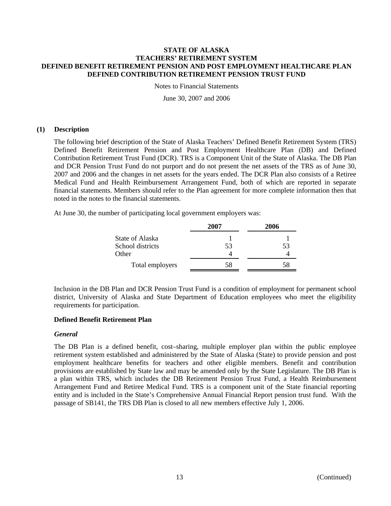Notes to Financial Statements

June 30, 2007 and 2006

### **(1) Description**

The following brief description of the State of Alaska Teachers' Defined Benefit Retirement System (TRS) Defined Benefit Retirement Pension and Post Employment Healthcare Plan (DB) and Defined Contribution Retirement Trust Fund (DCR). TRS is a Component Unit of the State of Alaska. The DB Plan and DCR Pension Trust Fund do not purport and do not present the net assets of the TRS as of June 30, 2007 and 2006 and the changes in net assets for the years ended. The DCR Plan also consists of a Retiree Medical Fund and Health Reimbursement Arrangement Fund, both of which are reported in separate financial statements. Members should refer to the Plan agreement for more complete information then that noted in the notes to the financial statements.

At June 30, the number of participating local government employers was:

|                  | 2007 | 2006 |
|------------------|------|------|
| State of Alaska  |      |      |
| School districts | 53   | 53   |
| Other            |      |      |
| Total employers  | 58   | 58   |

Inclusion in the DB Plan and DCR Pension Trust Fund is a condition of employment for permanent school district, University of Alaska and State Department of Education employees who meet the eligibility requirements for participation.

# **Defined Benefit Retirement Plan**

#### *General*

The DB Plan is a defined benefit, cost–sharing, multiple employer plan within the public employee retirement system established and administered by the State of Alaska (State) to provide pension and post employment healthcare benefits for teachers and other eligible members. Benefit and contribution provisions are established by State law and may be amended only by the State Legislature. The DB Plan is a plan within TRS, which includes the DB Retirement Pension Trust Fund, a Health Reimbursement Arrangement Fund and Retiree Medical Fund. TRS is a component unit of the State financial reporting entity and is included in the State's Comprehensive Annual Financial Report pension trust fund. With the passage of SB141, the TRS DB Plan is closed to all new members effective July 1, 2006.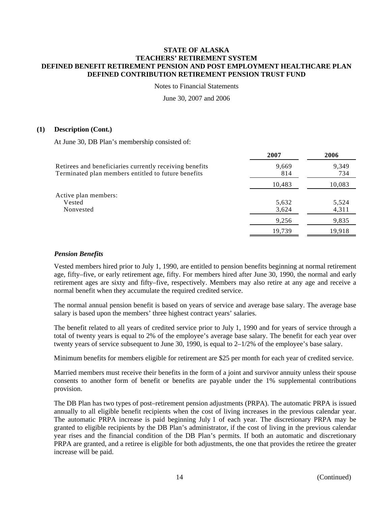Notes to Financial Statements

June 30, 2007 and 2006

### **(1) Description (Cont.)**

At June 30, DB Plan's membership consisted of:

|                                                                                                                | 2007           | 2006           |
|----------------------------------------------------------------------------------------------------------------|----------------|----------------|
| Retirees and beneficiaries currently receiving benefits<br>Terminated plan members entitled to future benefits | 9,669<br>814   | 9,349<br>734   |
|                                                                                                                | 10,483         | 10,083         |
| Active plan members:<br>Vested<br>Nonvested                                                                    | 5,632<br>3,624 | 5,524<br>4,311 |
|                                                                                                                | 9,256          | 9,835          |
|                                                                                                                | 19.739         | 19,918         |

## *Pension Benefits*

Vested members hired prior to July 1, 1990, are entitled to pension benefits beginning at normal retirement age, fifty–five, or early retirement age, fifty. For members hired after June 30, 1990, the normal and early retirement ages are sixty and fifty–five, respectively. Members may also retire at any age and receive a normal benefit when they accumulate the required credited service.

The normal annual pension benefit is based on years of service and average base salary. The average base salary is based upon the members' three highest contract years' salaries.

The benefit related to all years of credited service prior to July 1, 1990 and for years of service through a total of twenty years is equal to 2% of the employee's average base salary. The benefit for each year over twenty years of service subsequent to June 30, 1990, is equal to 2–1/2% of the employee's base salary.

Minimum benefits for members eligible for retirement are \$25 per month for each year of credited service.

Married members must receive their benefits in the form of a joint and survivor annuity unless their spouse consents to another form of benefit or benefits are payable under the 1% supplemental contributions provision.

The DB Plan has two types of post–retirement pension adjustments (PRPA). The automatic PRPA is issued annually to all eligible benefit recipients when the cost of living increases in the previous calendar year. The automatic PRPA increase is paid beginning July 1 of each year. The discretionary PRPA may be granted to eligible recipients by the DB Plan's administrator, if the cost of living in the previous calendar year rises and the financial condition of the DB Plan's permits. If both an automatic and discretionary PRPA are granted, and a retiree is eligible for both adjustments, the one that provides the retiree the greater increase will be paid.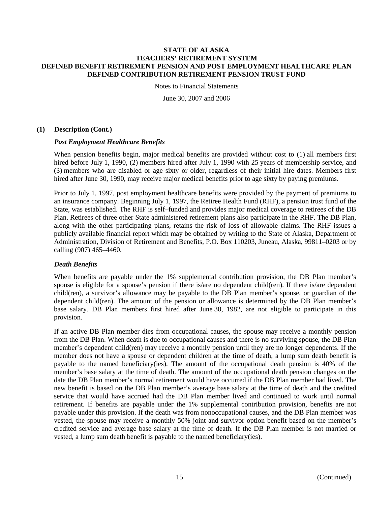Notes to Financial Statements

June 30, 2007 and 2006

#### **(1) Description (Cont.)**

#### *Post Employment Healthcare Benefits*

When pension benefits begin, major medical benefits are provided without cost to (1) all members first hired before July 1, 1990, (2) members hired after July 1, 1990 with 25 years of membership service, and (3) members who are disabled or age sixty or older, regardless of their initial hire dates. Members first hired after June 30, 1990, may receive major medical benefits prior to age sixty by paying premiums.

Prior to July 1, 1997, post employment healthcare benefits were provided by the payment of premiums to an insurance company. Beginning July 1, 1997, the Retiree Health Fund (RHF), a pension trust fund of the State, was established. The RHF is self–funded and provides major medical coverage to retirees of the DB Plan. Retirees of three other State administered retirement plans also participate in the RHF. The DB Plan, along with the other participating plans, retains the risk of loss of allowable claims. The RHF issues a publicly available financial report which may be obtained by writing to the State of Alaska, Department of Administration, Division of Retirement and Benefits, P.O. Box 110203, Juneau, Alaska, 99811–0203 or by calling (907) 465–4460.

## *Death Benefits*

When benefits are payable under the 1% supplemental contribution provision, the DB Plan member's spouse is eligible for a spouse's pension if there is/are no dependent child(ren). If there is/are dependent child(ren), a survivor's allowance may be payable to the DB Plan member's spouse, or guardian of the dependent child(ren). The amount of the pension or allowance is determined by the DB Plan member's base salary. DB Plan members first hired after June 30, 1982, are not eligible to participate in this provision.

If an active DB Plan member dies from occupational causes, the spouse may receive a monthly pension from the DB Plan. When death is due to occupational causes and there is no surviving spouse, the DB Plan member's dependent child(ren) may receive a monthly pension until they are no longer dependents. If the member does not have a spouse or dependent children at the time of death, a lump sum death benefit is payable to the named beneficiary(ies). The amount of the occupational death pension is 40% of the member's base salary at the time of death. The amount of the occupational death pension changes on the date the DB Plan member's normal retirement would have occurred if the DB Plan member had lived. The new benefit is based on the DB Plan member's average base salary at the time of death and the credited service that would have accrued had the DB Plan member lived and continued to work until normal retirement. If benefits are payable under the 1% supplemental contribution provision, benefits are not payable under this provision. If the death was from nonoccupational causes, and the DB Plan member was vested, the spouse may receive a monthly 50% joint and survivor option benefit based on the member's credited service and average base salary at the time of death. If the DB Plan member is not married or vested, a lump sum death benefit is payable to the named beneficiary(ies).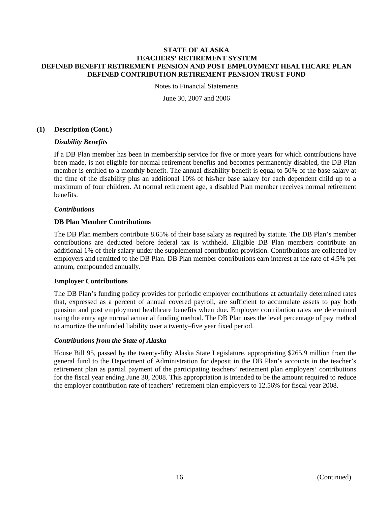Notes to Financial Statements

June 30, 2007 and 2006

## **(1) Description (Cont.)**

### *Disability Benefits*

If a DB Plan member has been in membership service for five or more years for which contributions have been made, is not eligible for normal retirement benefits and becomes permanently disabled, the DB Plan member is entitled to a monthly benefit. The annual disability benefit is equal to 50% of the base salary at the time of the disability plus an additional 10% of his/her base salary for each dependent child up to a maximum of four children. At normal retirement age, a disabled Plan member receives normal retirement benefits.

### *Contributions*

### **DB Plan Member Contributions**

The DB Plan members contribute 8.65% of their base salary as required by statute. The DB Plan's member contributions are deducted before federal tax is withheld. Eligible DB Plan members contribute an additional 1% of their salary under the supplemental contribution provision. Contributions are collected by employers and remitted to the DB Plan. DB Plan member contributions earn interest at the rate of 4.5% per annum, compounded annually.

#### **Employer Contributions**

The DB Plan's funding policy provides for periodic employer contributions at actuarially determined rates that, expressed as a percent of annual covered payroll, are sufficient to accumulate assets to pay both pension and post employment healthcare benefits when due. Employer contribution rates are determined using the entry age normal actuarial funding method. The DB Plan uses the level percentage of pay method to amortize the unfunded liability over a twenty–five year fixed period.

#### *Contributions from the State of Alaska*

House Bill 95, passed by the twenty-fifty Alaska State Legislature, appropriating \$265.9 million from the general fund to the Department of Administration for deposit in the DB Plan's accounts in the teacher's retirement plan as partial payment of the participating teachers' retirement plan employers' contributions for the fiscal year ending June 30, 2008. This appropriation is intended to be the amount required to reduce the employer contribution rate of teachers' retirement plan employers to 12.56% for fiscal year 2008.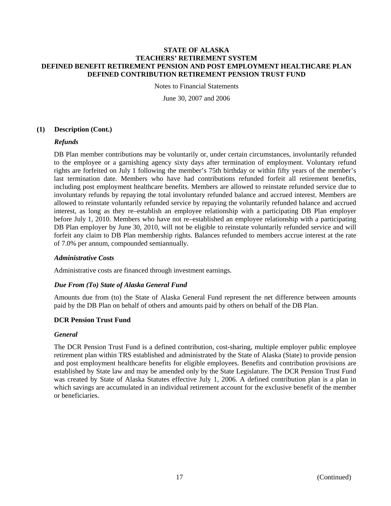Notes to Financial Statements

June 30, 2007 and 2006

## **(1) Description (Cont.)**

### *Refunds*

DB Plan member contributions may be voluntarily or, under certain circumstances, involuntarily refunded to the employee or a garnishing agency sixty days after termination of employment. Voluntary refund rights are forfeited on July 1 following the member's 75th birthday or within fifty years of the member's last termination date. Members who have had contributions refunded forfeit all retirement benefits, including post employment healthcare benefits. Members are allowed to reinstate refunded service due to involuntary refunds by repaying the total involuntary refunded balance and accrued interest. Members are allowed to reinstate voluntarily refunded service by repaying the voluntarily refunded balance and accrued interest, as long as they re–establish an employee relationship with a participating DB Plan employer before July 1, 2010. Members who have not re–established an employee relationship with a participating DB Plan employer by June 30, 2010, will not be eligible to reinstate voluntarily refunded service and will forfeit any claim to DB Plan membership rights. Balances refunded to members accrue interest at the rate of 7.0% per annum, compounded semiannually.

#### *Administrative Costs*

Administrative costs are financed through investment earnings.

## *Due From (To) State of Alaska General Fund*

Amounts due from (to) the State of Alaska General Fund represent the net difference between amounts paid by the DB Plan on behalf of others and amounts paid by others on behalf of the DB Plan.

### **DCR Pension Trust Fund**

#### *General*

The DCR Pension Trust Fund is a defined contribution, cost-sharing, multiple employer public employee retirement plan within TRS established and administrated by the State of Alaska (State) to provide pension and post employment healthcare benefits for eligible employees. Benefits and contribution provisions are established by State law and may be amended only by the State Legislature. The DCR Pension Trust Fund was created by State of Alaska Statutes effective July 1, 2006. A defined contribution plan is a plan in which savings are accumulated in an individual retirement account for the exclusive benefit of the member or beneficiaries.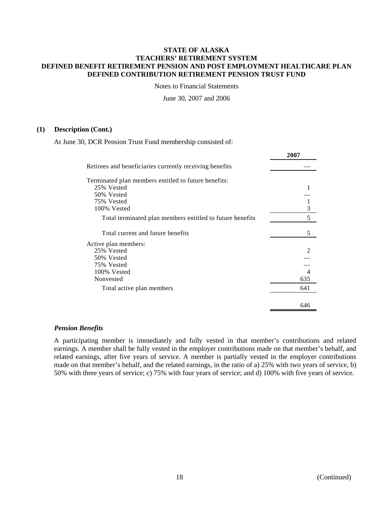Notes to Financial Statements

June 30, 2007 and 2006

#### **(1) Description (Cont.)**

At June 30, DCR Pension Trust Fund membership consisted of:

|                                                           | 200 I          |
|-----------------------------------------------------------|----------------|
| Retirees and beneficiaries currently receiving benefits   |                |
| Terminated plan members entitled to future benefits:      |                |
| 25% Vested                                                |                |
| 50% Vested                                                |                |
| 75% Vested                                                | $\mathbf{1}$   |
| 100% Vested                                               | $\overline{3}$ |
| Total terminated plan members entitled to future benefits | 5              |
| Total current and future benefits                         | 5              |
| Active plan members:                                      |                |
| 25% Vested                                                | $\mathfrak{D}$ |
| 50% Vested                                                |                |
| 75% Vested                                                |                |
| 100% Vested                                               | 4              |
| Nonvested                                                 | 635            |
| Total active plan members                                 | 641            |
|                                                           |                |
|                                                           | 646            |

#### *Pension Benefits*

A participating member is immediately and fully vested in that member's contributions and related earnings. A member shall be fully vested in the employer contributions made on that member's behalf, and related earnings, after five years of service. A member is partially vested in the employer contributions made on that member's behalf, and the related earnings, in the ratio of a) 25% with two years of service, b) 50% with three years of service; c) 75% with four years of service; and d) 100% with five years of service.

**2007**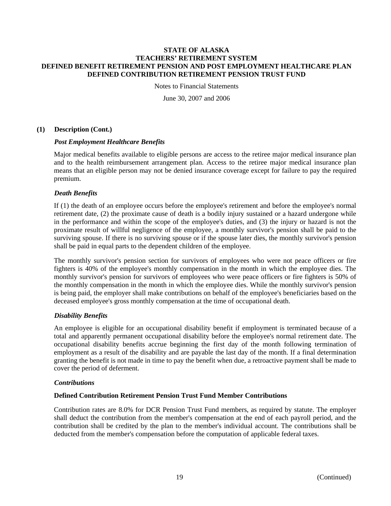Notes to Financial Statements

June 30, 2007 and 2006

### **(1) Description (Cont.)**

### *Post Employment Healthcare Benefits*

Major medical benefits available to eligible persons are access to the retiree major medical insurance plan and to the health reimbursement arrangement plan. Access to the retiree major medical insurance plan means that an eligible person may not be denied insurance coverage except for failure to pay the required premium.

### *Death Benefits*

If (1) the death of an employee occurs before the employee's retirement and before the employee's normal retirement date, (2) the proximate cause of death is a bodily injury sustained or a hazard undergone while in the performance and within the scope of the employee's duties, and (3) the injury or hazard is not the proximate result of willful negligence of the employee, a monthly survivor's pension shall be paid to the surviving spouse. If there is no surviving spouse or if the spouse later dies, the monthly survivor's pension shall be paid in equal parts to the dependent children of the employee.

The monthly survivor's pension section for survivors of employees who were not peace officers or fire fighters is 40% of the employee's monthly compensation in the month in which the employee dies. The monthly survivor's pension for survivors of employees who were peace officers or fire fighters is 50% of the monthly compensation in the month in which the employee dies. While the monthly survivor's pension is being paid, the employer shall make contributions on behalf of the employee's beneficiaries based on the deceased employee's gross monthly compensation at the time of occupational death.

## *Disability Benefits*

An employee is eligible for an occupational disability benefit if employment is terminated because of a total and apparently permanent occupational disability before the employee's normal retirement date. The occupational disability benefits accrue beginning the first day of the month following termination of employment as a result of the disability and are payable the last day of the month. If a final determination granting the benefit is not made in time to pay the benefit when due, a retroactive payment shall be made to cover the period of deferment.

#### *Contributions*

## **Defined Contribution Retirement Pension Trust Fund Member Contributions**

Contribution rates are 8.0% for DCR Pension Trust Fund members, as required by statute. The employer shall deduct the contribution from the member's compensation at the end of each payroll period, and the contribution shall be credited by the plan to the member's individual account. The contributions shall be deducted from the member's compensation before the computation of applicable federal taxes.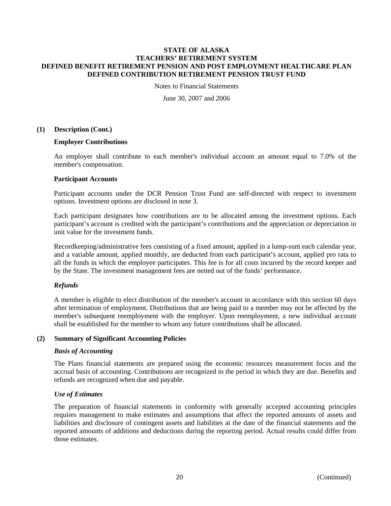Notes to Financial Statements

June 30, 2007 and 2006

#### **(1) Description (Cont.)**

### **Employer Contributions**

An employer shall contribute to each member's individual account an amount equal to 7.0% of the member's compensation.

### **Participant Accounts**

Participant accounts under the DCR Pension Trust Fund are self-directed with respect to investment options. Investment options are disclosed in note 3.

Each participant designates how contributions are to be allocated among the investment options. Each participant's account is credited with the participant's contributions and the appreciation or depreciation in unit value for the investment funds.

Recordkeeping/administrative fees consisting of a fixed amount, applied in a lump-sum each calendar year, and a variable amount, applied monthly, are deducted from each participant's account, applied pro rata to all the funds in which the employee participates. This fee is for all costs incurred by the record keeper and by the State. The investment management fees are netted out of the funds' performance.

## *Refunds*

A member is eligible to elect distribution of the member's account in accordance with this section 60 days after termination of employment. Distributions that are being paid to a member may not be affected by the member's subsequent reemployment with the employer. Upon reemployment, a new individual account shall be established for the member to whom any future contributions shall be allocated.

#### **(2) Summary of Significant Accounting Policies**

#### *Basis of Accounting*

The Plans financial statements are prepared using the economic resources measurement focus and the accrual basis of accounting. Contributions are recognized in the period in which they are due. Benefits and refunds are recognized when due and payable.

#### *Use of Estimates*

The preparation of financial statements in conformity with generally accepted accounting principles requires management to make estimates and assumptions that affect the reported amounts of assets and liabilities and disclosure of contingent assets and liabilities at the date of the financial statements and the reported amounts of additions and deductions during the reporting period. Actual results could differ from those estimates.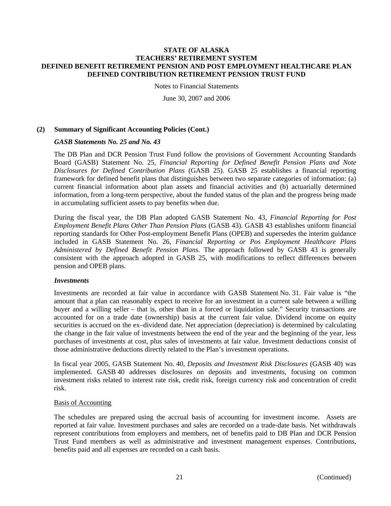Notes to Financial Statements

June 30, 2007 and 2006

### **(2) Summary of Significant Accounting Policies (Cont.)**

#### *GASB Statements No. 25 and No. 43*

The DB Plan and DCR Pension Trust Fund follow the provisions of Government Accounting Standards Board (GASB) Statement No. 25, *Financial Reporting for Defined Benefit Pension Plans and Note Disclosures for Defined Contribution Plans* (GASB 25). GASB 25 establishes a financial reporting framework for defined benefit plans that distinguishes between two separate categories of information: (a) current financial information about plan assets and financial activities and (b) actuarially determined information, from a long-term perspective, about the funded status of the plan and the progress being made in accumulating sufficient assets to pay benefits when due.

During the fiscal year, the DB Plan adopted GASB Statement No. 43, *Financial Reporting for Post Employment Benefit Plans Other Than Pension Plans* (GASB 43). GASB 43 establishes uniform financial reporting standards for Other Post-employment Benefit Plans (OPEB) and supersedes the interim guidance included in GASB Statement No. 26, *Financial Reporting or Pos Employment Healthcare Plans Administered by Defined Benefit Pension Plans*. The approach followed by GASB 43 is generally consistent with the approach adopted in GASB 25, with modifications to reflect differences between pension and OPEB plans.

#### *Investments*

Investments are recorded at fair value in accordance with GASB Statement No. 31. Fair value is "the amount that a plan can reasonably expect to receive for an investment in a current sale between a willing buyer and a willing seller – that is, other than in a forced or liquidation sale." Security transactions are accounted for on a trade date (ownership) basis at the current fair value. Dividend income on equity securities is accrued on the ex-dividend date. Net appreciation (depreciation) is determined by calculating the change in the fair value of investments between the end of the year and the beginning of the year, less purchases of investments at cost, plus sales of investments at fair value. Investment deductions consist of those administrative deductions directly related to the Plan's investment operations.

In fiscal year 2005, GASB Statement No. 40, *Deposits and Investment Risk Disclosures* (GASB 40) was implemented. GASB 40 addresses disclosures on deposits and investments, focusing on common investment risks related to interest rate risk, credit risk, foreign currency risk and concentration of credit risk.

#### Basis of Accounting

The schedules are prepared using the accrual basis of accounting for investment income. Assets are reported at fair value. Investment purchases and sales are recorded on a trade-date basis. Net withdrawals represent contributions from employers and members, net of benefits paid to DB Plan and DCR Pension Trust Fund members as well as administrative and investment management expenses. Contributions, benefits paid and all expenses are recorded on a cash basis.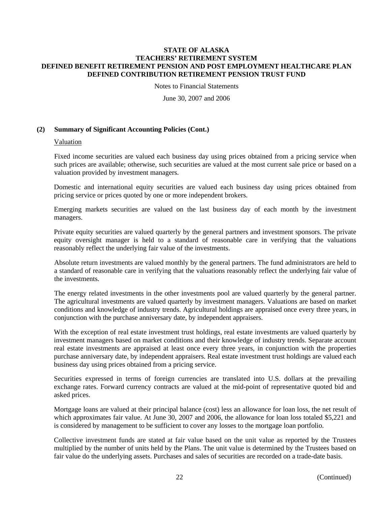Notes to Financial Statements

June 30, 2007 and 2006

### **(2) Summary of Significant Accounting Policies (Cont.)**

#### Valuation

Fixed income securities are valued each business day using prices obtained from a pricing service when such prices are available; otherwise, such securities are valued at the most current sale price or based on a valuation provided by investment managers.

Domestic and international equity securities are valued each business day using prices obtained from pricing service or prices quoted by one or more independent brokers.

Emerging markets securities are valued on the last business day of each month by the investment managers.

Private equity securities are valued quarterly by the general partners and investment sponsors. The private equity oversight manager is held to a standard of reasonable care in verifying that the valuations reasonably reflect the underlying fair value of the investments.

Absolute return investments are valued monthly by the general partners. The fund administrators are held to a standard of reasonable care in verifying that the valuations reasonably reflect the underlying fair value of the investments.

The energy related investments in the other investments pool are valued quarterly by the general partner. The agricultural investments are valued quarterly by investment managers. Valuations are based on market conditions and knowledge of industry trends. Agricultural holdings are appraised once every three years, in conjunction with the purchase anniversary date, by independent appraisers.

With the exception of real estate investment trust holdings, real estate investments are valued quarterly by investment managers based on market conditions and their knowledge of industry trends. Separate account real estate investments are appraised at least once every three years, in conjunction with the properties purchase anniversary date, by independent appraisers. Real estate investment trust holdings are valued each business day using prices obtained from a pricing service.

Securities expressed in terms of foreign currencies are translated into U.S. dollars at the prevailing exchange rates. Forward currency contracts are valued at the mid-point of representative quoted bid and asked prices.

Mortgage loans are valued at their principal balance (cost) less an allowance for loan loss, the net result of which approximates fair value. At June 30, 2007 and 2006, the allowance for loan loss totaled \$5,221 and is considered by management to be sufficient to cover any losses to the mortgage loan portfolio.

Collective investment funds are stated at fair value based on the unit value as reported by the Trustees multiplied by the number of units held by the Plans. The unit value is determined by the Trustees based on fair value do the underlying assets. Purchases and sales of securities are recorded on a trade-date basis.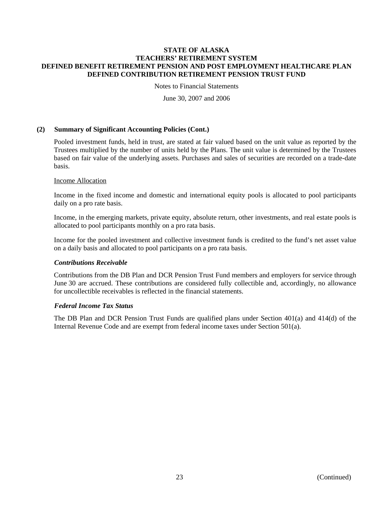Notes to Financial Statements

June 30, 2007 and 2006

### **(2) Summary of Significant Accounting Policies (Cont.)**

Pooled investment funds, held in trust, are stated at fair valued based on the unit value as reported by the Trustees multiplied by the number of units held by the Plans. The unit value is determined by the Trustees based on fair value of the underlying assets. Purchases and sales of securities are recorded on a trade-date basis.

#### Income Allocation

Income in the fixed income and domestic and international equity pools is allocated to pool participants daily on a pro rate basis.

Income, in the emerging markets, private equity, absolute return, other investments, and real estate pools is allocated to pool participants monthly on a pro rata basis.

Income for the pooled investment and collective investment funds is credited to the fund's net asset value on a daily basis and allocated to pool participants on a pro rata basis.

#### *Contributions Receivable*

Contributions from the DB Plan and DCR Pension Trust Fund members and employers for service through June 30 are accrued. These contributions are considered fully collectible and, accordingly, no allowance for uncollectible receivables is reflected in the financial statements.

## *Federal Income Tax Status*

The DB Plan and DCR Pension Trust Funds are qualified plans under Section 401(a) and 414(d) of the Internal Revenue Code and are exempt from federal income taxes under Section 501(a).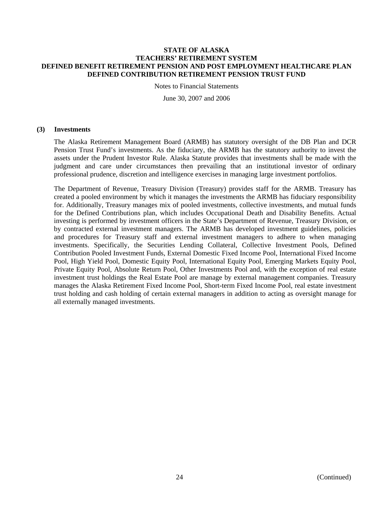Notes to Financial Statements

June 30, 2007 and 2006

#### **(3) Investments**

The Alaska Retirement Management Board (ARMB) has statutory oversight of the DB Plan and DCR Pension Trust Fund's investments. As the fiduciary, the ARMB has the statutory authority to invest the assets under the Prudent Investor Rule. Alaska Statute provides that investments shall be made with the judgment and care under circumstances then prevailing that an institutional investor of ordinary professional prudence, discretion and intelligence exercises in managing large investment portfolios.

The Department of Revenue, Treasury Division (Treasury) provides staff for the ARMB. Treasury has created a pooled environment by which it manages the investments the ARMB has fiduciary responsibility for. Additionally, Treasury manages mix of pooled investments, collective investments, and mutual funds for the Defined Contributions plan, which includes Occupational Death and Disability Benefits. Actual investing is performed by investment officers in the State's Department of Revenue, Treasury Division, or by contracted external investment managers. The ARMB has developed investment guidelines, policies and procedures for Treasury staff and external investment managers to adhere to when managing investments. Specifically, the Securities Lending Collateral, Collective Investment Pools, Defined Contribution Pooled Investment Funds, External Domestic Fixed Income Pool, International Fixed Income Pool, High Yield Pool, Domestic Equity Pool, International Equity Pool, Emerging Markets Equity Pool, Private Equity Pool, Absolute Return Pool, Other Investments Pool and, with the exception of real estate investment trust holdings the Real Estate Pool are manage by external management companies. Treasury manages the Alaska Retirement Fixed Income Pool, Short-term Fixed Income Pool, real estate investment trust holding and cash holding of certain external managers in addition to acting as oversight manage for all externally managed investments.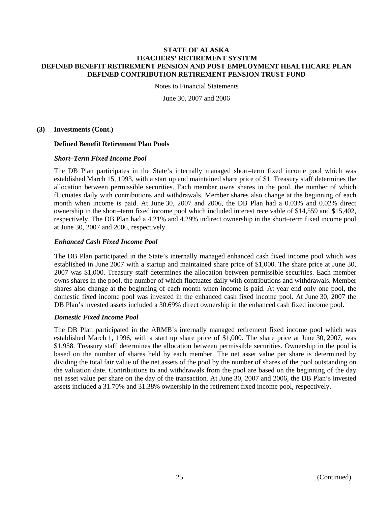Notes to Financial Statements

June 30, 2007 and 2006

#### **(3) Investments (Cont.)**

### **Defined Benefit Retirement Plan Pools**

### *Short–Term Fixed Income Pool*

The DB Plan participates in the State's internally managed short–term fixed income pool which was established March 15, 1993, with a start up and maintained share price of \$1. Treasury staff determines the allocation between permissible securities. Each member owns shares in the pool, the number of which fluctuates daily with contributions and withdrawals. Member shares also change at the beginning of each month when income is paid. At June 30, 2007 and 2006, the DB Plan had a 0.03% and 0.02% direct ownership in the short–term fixed income pool which included interest receivable of \$14,559 and \$15,402, respectively. The DB Plan had a 4.21% and 4.29% indirect ownership in the short–term fixed income pool at June 30, 2007 and 2006, respectively.

## *Enhanced Cash Fixed Income Pool*

The DB Plan participated in the State's internally managed enhanced cash fixed income pool which was established in June 2007 with a startup and maintained share price of \$1,000. The share price at June 30, 2007 was \$1,000. Treasury staff determines the allocation between permissible securities. Each member owns shares in the pool, the number of which fluctuates daily with contributions and withdrawals. Member shares also change at the beginning of each month when income is paid. At year end only one pool, the domestic fixed income pool was invested in the enhanced cash fixed income pool. At June 30, 2007 the DB Plan's invested assets included a 30.69% direct ownership in the enhanced cash fixed income pool.

#### *Domestic Fixed Income Pool*

The DB Plan participated in the ARMB's internally managed retirement fixed income pool which was established March 1, 1996, with a start up share price of \$1,000. The share price at June 30, 2007, was \$1,958. Treasury staff determines the allocation between permissible securities. Ownership in the pool is based on the number of shares held by each member. The net asset value per share is determined by dividing the total fair value of the net assets of the pool by the number of shares of the pool outstanding on the valuation date. Contributions to and withdrawals from the pool are based on the beginning of the day net asset value per share on the day of the transaction. At June 30, 2007 and 2006, the DB Plan's invested assets included a 31.70% and 31.38% ownership in the retirement fixed income pool, respectively.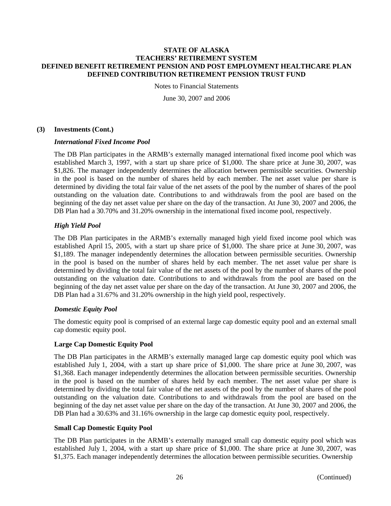Notes to Financial Statements

June 30, 2007 and 2006

#### **(3) Investments (Cont.)**

#### *International Fixed Income Pool*

The DB Plan participates in the ARMB's externally managed international fixed income pool which was established March 3, 1997, with a start up share price of \$1,000. The share price at June 30, 2007, was \$1,826. The manager independently determines the allocation between permissible securities. Ownership in the pool is based on the number of shares held by each member. The net asset value per share is determined by dividing the total fair value of the net assets of the pool by the number of shares of the pool outstanding on the valuation date. Contributions to and withdrawals from the pool are based on the beginning of the day net asset value per share on the day of the transaction. At June 30, 2007 and 2006, the DB Plan had a 30.70% and 31.20% ownership in the international fixed income pool, respectively.

## *High Yield Pool*

The DB Plan participates in the ARMB's externally managed high yield fixed income pool which was established April 15, 2005, with a start up share price of \$1,000. The share price at June 30, 2007, was \$1,189. The manager independently determines the allocation between permissible securities. Ownership in the pool is based on the number of shares held by each member. The net asset value per share is determined by dividing the total fair value of the net assets of the pool by the number of shares of the pool outstanding on the valuation date. Contributions to and withdrawals from the pool are based on the beginning of the day net asset value per share on the day of the transaction. At June 30, 2007 and 2006, the DB Plan had a 31.67% and 31.20% ownership in the high yield pool, respectively.

## *Domestic Equity Pool*

The domestic equity pool is comprised of an external large cap domestic equity pool and an external small cap domestic equity pool.

#### **Large Cap Domestic Equity Pool**

The DB Plan participates in the ARMB's externally managed large cap domestic equity pool which was established July 1, 2004, with a start up share price of \$1,000. The share price at June 30, 2007, was \$1,368. Each manager independently determines the allocation between permissible securities. Ownership in the pool is based on the number of shares held by each member. The net asset value per share is determined by dividing the total fair value of the net assets of the pool by the number of shares of the pool outstanding on the valuation date. Contributions to and withdrawals from the pool are based on the beginning of the day net asset value per share on the day of the transaction. At June 30, 2007 and 2006, the DB Plan had a 30.63% and 31.16% ownership in the large cap domestic equity pool, respectively.

#### **Small Cap Domestic Equity Pool**

The DB Plan participates in the ARMB's externally managed small cap domestic equity pool which was established July 1, 2004, with a start up share price of \$1,000. The share price at June 30, 2007, was \$1,375. Each manager independently determines the allocation between permissible securities. Ownership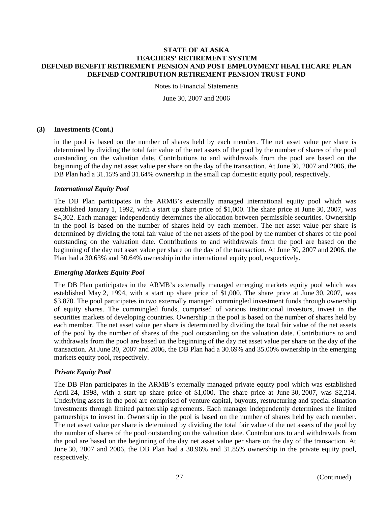Notes to Financial Statements

June 30, 2007 and 2006

### **(3) Investments (Cont.)**

in the pool is based on the number of shares held by each member. The net asset value per share is determined by dividing the total fair value of the net assets of the pool by the number of shares of the pool outstanding on the valuation date. Contributions to and withdrawals from the pool are based on the beginning of the day net asset value per share on the day of the transaction. At June 30, 2007 and 2006, the DB Plan had a 31.15% and 31.64% ownership in the small cap domestic equity pool, respectively.

#### *International Equity Pool*

The DB Plan participates in the ARMB's externally managed international equity pool which was established January 1, 1992, with a start up share price of \$1,000. The share price at June 30, 2007, was \$4,302. Each manager independently determines the allocation between permissible securities. Ownership in the pool is based on the number of shares held by each member. The net asset value per share is determined by dividing the total fair value of the net assets of the pool by the number of shares of the pool outstanding on the valuation date. Contributions to and withdrawals from the pool are based on the beginning of the day net asset value per share on the day of the transaction. At June 30, 2007 and 2006, the Plan had a 30.63% and 30.64% ownership in the international equity pool, respectively.

## *Emerging Markets Equity Pool*

The DB Plan participates in the ARMB's externally managed emerging markets equity pool which was established May 2, 1994, with a start up share price of \$1,000. The share price at June 30, 2007, was \$3,870. The pool participates in two externally managed commingled investment funds through ownership of equity shares. The commingled funds, comprised of various institutional investors, invest in the securities markets of developing countries. Ownership in the pool is based on the number of shares held by each member. The net asset value per share is determined by dividing the total fair value of the net assets of the pool by the number of shares of the pool outstanding on the valuation date. Contributions to and withdrawals from the pool are based on the beginning of the day net asset value per share on the day of the transaction. At June 30, 2007 and 2006, the DB Plan had a 30.69% and 35.00% ownership in the emerging markets equity pool, respectively.

## *Private Equity Pool*

The DB Plan participates in the ARMB's externally managed private equity pool which was established April 24, 1998, with a start up share price of \$1,000. The share price at June 30, 2007, was \$2,214. Underlying assets in the pool are comprised of venture capital, buyouts, restructuring and special situation investments through limited partnership agreements. Each manager independently determines the limited partnerships to invest in. Ownership in the pool is based on the number of shares held by each member. The net asset value per share is determined by dividing the total fair value of the net assets of the pool by the number of shares of the pool outstanding on the valuation date. Contributions to and withdrawals from the pool are based on the beginning of the day net asset value per share on the day of the transaction. At June 30, 2007 and 2006, the DB Plan had a 30.96% and 31.85% ownership in the private equity pool, respectively.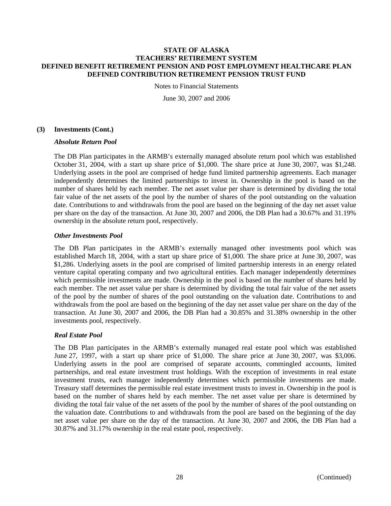Notes to Financial Statements

June 30, 2007 and 2006

### **(3) Investments (Cont.)**

#### *Absolute Return Pool*

The DB Plan participates in the ARMB's externally managed absolute return pool which was established October 31, 2004, with a start up share price of \$1,000. The share price at June 30, 2007, was \$1,248. Underlying assets in the pool are comprised of hedge fund limited partnership agreements. Each manager independently determines the limited partnerships to invest in. Ownership in the pool is based on the number of shares held by each member. The net asset value per share is determined by dividing the total fair value of the net assets of the pool by the number of shares of the pool outstanding on the valuation date. Contributions to and withdrawals from the pool are based on the beginning of the day net asset value per share on the day of the transaction. At June 30, 2007 and 2006, the DB Plan had a 30.67% and 31.19% ownership in the absolute return pool, respectively.

### *Other Investments Pool*

The DB Plan participates in the ARMB's externally managed other investments pool which was established March 18, 2004, with a start up share price of \$1,000. The share price at June 30, 2007, was \$1,286. Underlying assets in the pool are comprised of limited partnership interests in an energy related venture capital operating company and two agricultural entities. Each manager independently determines which permissible investments are made. Ownership in the pool is based on the number of shares held by each member. The net asset value per share is determined by dividing the total fair value of the net assets of the pool by the number of shares of the pool outstanding on the valuation date. Contributions to and withdrawals from the pool are based on the beginning of the day net asset value per share on the day of the transaction. At June 30, 2007 and 2006, the DB Plan had a 30.85% and 31.38% ownership in the other investments pool, respectively.

## *Real Estate Pool*

The DB Plan participates in the ARMB's externally managed real estate pool which was established June 27, 1997, with a start up share price of \$1,000. The share price at June 30, 2007, was \$3,006. Underlying assets in the pool are comprised of separate accounts, commingled accounts, limited partnerships, and real estate investment trust holdings. With the exception of investments in real estate investment trusts, each manager independently determines which permissible investments are made. Treasury staff determines the permissible real estate investment trusts to invest in. Ownership in the pool is based on the number of shares held by each member. The net asset value per share is determined by dividing the total fair value of the net assets of the pool by the number of shares of the pool outstanding on the valuation date. Contributions to and withdrawals from the pool are based on the beginning of the day net asset value per share on the day of the transaction. At June 30, 2007 and 2006, the DB Plan had a 30.87% and 31.17% ownership in the real estate pool, respectively.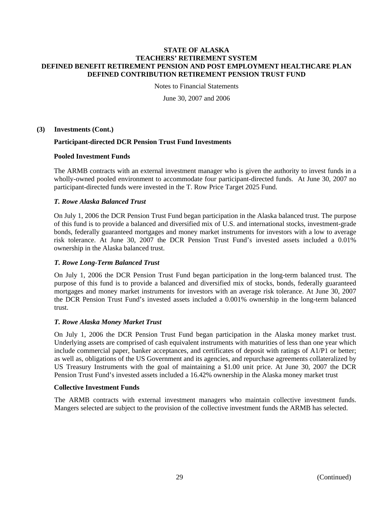Notes to Financial Statements

June 30, 2007 and 2006

**(3) Investments (Cont.)** 

### **Participant-directed DCR Pension Trust Fund Investments**

### **Pooled Investment Funds**

The ARMB contracts with an external investment manager who is given the authority to invest funds in a wholly-owned pooled environment to accommodate four participant-directed funds. At June 30, 2007 no participant-directed funds were invested in the T. Row Price Target 2025 Fund.

### *T. Rowe Alaska Balanced Trust*

On July 1, 2006 the DCR Pension Trust Fund began participation in the Alaska balanced trust. The purpose of this fund is to provide a balanced and diversified mix of U.S. and international stocks, investment-grade bonds, federally guaranteed mortgages and money market instruments for investors with a low to average risk tolerance. At June 30, 2007 the DCR Pension Trust Fund's invested assets included a 0.01% ownership in the Alaska balanced trust.

#### *T. Rowe Long-Term Balanced Trust*

On July 1, 2006 the DCR Pension Trust Fund began participation in the long-term balanced trust. The purpose of this fund is to provide a balanced and diversified mix of stocks, bonds, federally guaranteed mortgages and money market instruments for investors with an average risk tolerance. At June 30, 2007 the DCR Pension Trust Fund's invested assets included a 0.001% ownership in the long-term balanced trust.

#### *T. Rowe Alaska Money Market Trust*

On July 1, 2006 the DCR Pension Trust Fund began participation in the Alaska money market trust. Underlying assets are comprised of cash equivalent instruments with maturities of less than one year which include commercial paper, banker acceptances, and certificates of deposit with ratings of A1/P1 or better; as well as, obligations of the US Government and its agencies, and repurchase agreements collateralized by US Treasury Instruments with the goal of maintaining a \$1.00 unit price. At June 30, 2007 the DCR Pension Trust Fund's invested assets included a 16.42% ownership in the Alaska money market trust

#### **Collective Investment Funds**

The ARMB contracts with external investment managers who maintain collective investment funds. Mangers selected are subject to the provision of the collective investment funds the ARMB has selected.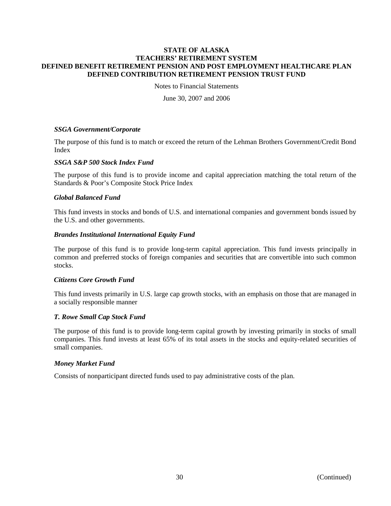Notes to Financial Statements

June 30, 2007 and 2006

#### *SSGA Government/Corporate*

The purpose of this fund is to match or exceed the return of the Lehman Brothers Government/Credit Bond Index

### *SSGA S&P 500 Stock Index Fund*

The purpose of this fund is to provide income and capital appreciation matching the total return of the Standards & Poor's Composite Stock Price Index

#### *Global Balanced Fund*

This fund invests in stocks and bonds of U.S. and international companies and government bonds issued by the U.S. and other governments.

#### *Brandes Institutional International Equity Fund*

The purpose of this fund is to provide long-term capital appreciation. This fund invests principally in common and preferred stocks of foreign companies and securities that are convertible into such common stocks.

#### *Citizens Core Growth Fund*

This fund invests primarily in U.S. large cap growth stocks, with an emphasis on those that are managed in a socially responsible manner

#### *T. Rowe Small Cap Stock Fund*

The purpose of this fund is to provide long-term capital growth by investing primarily in stocks of small companies. This fund invests at least 65% of its total assets in the stocks and equity-related securities of small companies.

#### *Money Market Fund*

Consists of nonparticipant directed funds used to pay administrative costs of the plan.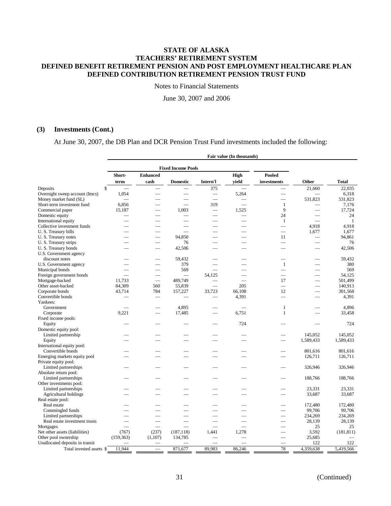Notes to Financial Statements

June 30, 2007 and 2006

### **(3) Investments (Cont.)**

At June 30, 2007, the DB Plan and DCR Pension Trust Fund investments included the following:

|                                             | Fair value (In thousands) |                          |                           |                          |        |                          |                          |                  |  |
|---------------------------------------------|---------------------------|--------------------------|---------------------------|--------------------------|--------|--------------------------|--------------------------|------------------|--|
|                                             |                           |                          |                           |                          |        |                          |                          |                  |  |
|                                             | Short-                    | <b>Enhanced</b>          | <b>Fixed Income Pools</b> |                          | High   | Pooled                   |                          |                  |  |
|                                             | term                      | cash                     | <b>Domestic</b>           | Intern'l                 | vield  | investments              | Other                    | <b>Total</b>     |  |
| \$<br>Deposits                              |                           | $\overline{\phantom{0}}$ |                           | 375                      |        | ÷.                       | 21.660                   | 22.035           |  |
| Overnight sweep account (Imcs)              | 1,054                     |                          |                           | $\overline{\phantom{0}}$ | 5,264  | $\overline{\phantom{0}}$ |                          | 6,318            |  |
| Money market fund (SL)                      |                           |                          |                           |                          |        |                          | 531,823                  | 531,823          |  |
| Short-term investment fund                  | 6,856                     |                          |                           | 319                      | ÷.     | $\mathbf{1}$             |                          | 7,176            |  |
| Commercial paper                            | 15,187                    |                          | 1,003                     | $=$                      | 1,525  | 9                        |                          | 17,724           |  |
| Domestic equity                             |                           |                          |                           |                          |        | 24                       |                          | 24               |  |
| International equity                        |                           |                          |                           |                          |        | $\mathbf{1}$             | $\overline{\phantom{0}}$ | $\mathbf{1}$     |  |
| Collective investment funds                 |                           |                          |                           |                          |        | $\overline{\phantom{0}}$ | 4,918                    | 4,918            |  |
| U. S. Treasury bills                        |                           |                          |                           |                          |        | $\overline{\phantom{0}}$ | 1.677                    | 1,677            |  |
|                                             |                           |                          | 94.850                    |                          |        |                          |                          |                  |  |
| U.S. Treasury notes                         | $\sim$                    | $\overline{\phantom{0}}$ |                           | $\overline{\phantom{0}}$ |        | 11<br>÷.                 |                          | 94,861           |  |
| U. S. Treasury strips                       |                           |                          | 76                        |                          |        |                          |                          | 76               |  |
| U.S. Treasury bonds                         |                           |                          | 42,506                    |                          |        |                          |                          | 42,506           |  |
| U.S. Government agency                      |                           |                          |                           |                          |        |                          |                          |                  |  |
| discount notes                              |                           |                          | 59,432                    |                          |        |                          |                          | 59,432           |  |
| U.S. Government agency                      |                           |                          | 379                       |                          |        | $\mathbf{1}$             |                          | 380              |  |
| Municipal bonds                             |                           |                          | 569                       |                          |        |                          | $\overline{\phantom{0}}$ | 569              |  |
| Foreign government bonds                    |                           |                          | $\sim$                    | 54,125                   |        |                          |                          | 54.125           |  |
| Mortgage-backed                             | 11,733                    | $\overline{\phantom{0}}$ | 489,749                   |                          |        | 17                       |                          | 501,499          |  |
| Other asset-backed                          | 84,309                    | 560                      | 55,839                    |                          | 205    | $\equiv$                 | $\equiv$                 | 140,913          |  |
| Corporate bonds                             | 43,714                    | 784                      | 157,227                   | 33,723                   | 66,108 | 12                       | ÷.                       | 301,568          |  |
| Convertible bonds                           |                           |                          |                           |                          | 4,391  | $\mathcal{L}$            |                          | 4,391            |  |
| Yankees:                                    |                           |                          |                           |                          |        |                          |                          |                  |  |
| Government                                  |                           |                          | 4,895                     |                          |        | $\mathbf{1}$             |                          | 4,896            |  |
| Corporate                                   | 9,221                     |                          | 17,485                    |                          | 6,751  | $\mathbf{1}$             |                          | 33,458           |  |
| Fixed income pools:                         |                           |                          |                           |                          |        |                          |                          |                  |  |
| Equity                                      |                           |                          |                           |                          | 724    |                          |                          | 724              |  |
| Domestic equity pool:                       |                           |                          |                           |                          |        |                          |                          |                  |  |
| Limited partnership                         |                           |                          |                           |                          |        |                          | 145,052                  | 145,052          |  |
| Equity                                      |                           |                          |                           |                          |        |                          | 1,589,433                | 1,589,433        |  |
| International equity pool:                  |                           |                          |                           |                          |        |                          |                          |                  |  |
| Convertible bonds                           |                           |                          |                           |                          |        |                          | 801,616                  | 801,616          |  |
| Emerging markets equity pool                |                           |                          |                           |                          |        |                          | 126,711                  | 126,711          |  |
| Private equity pool:                        |                           |                          |                           |                          |        |                          |                          |                  |  |
| Limited partnerships                        |                           |                          |                           |                          |        |                          | 326,946                  | 326,946          |  |
| Absolute return pool:                       |                           |                          |                           |                          |        |                          |                          |                  |  |
| Limited partnerships                        |                           |                          |                           |                          |        |                          | 188,766                  | 188,766          |  |
| Other investments pool:                     |                           |                          |                           |                          |        |                          |                          |                  |  |
| Limited partnerships                        |                           |                          |                           |                          |        |                          | 23,331                   | 23,331           |  |
| Agricultural holdings                       |                           |                          |                           |                          |        |                          | 33,687                   | 33,687           |  |
| Real estate pool:                           |                           |                          |                           |                          |        |                          |                          |                  |  |
| Real estate                                 |                           |                          |                           |                          |        |                          | 172,480                  | 172,480          |  |
| Commingled funds                            |                           |                          |                           |                          |        |                          | 99.706                   | 99.706           |  |
| Limited partnerships                        |                           |                          |                           |                          |        |                          | 234,269                  | 234,269          |  |
| Real estate investment trusts               |                           |                          |                           |                          |        | $\overline{\phantom{a}}$ | 28,139                   | 28,139           |  |
|                                             |                           |                          |                           |                          |        |                          | 25                       |                  |  |
| Mortgages<br>Net other assets (liabilities) | (767)                     | (237)                    | (187, 118)                | 1,441                    | 1,278  | <u>e a</u>               | 3,592                    | 25<br>(181, 811) |  |
| Other pool ownership                        |                           |                          | 134,785                   |                          |        | $\overline{\phantom{0}}$ | 25,685                   |                  |  |
|                                             | (159, 363)                | (1,107)                  |                           |                          |        |                          | 122                      | 122              |  |
| Unallocated deposits in transit             |                           |                          |                           |                          |        | 78                       |                          |                  |  |
| Total invested assets \$                    | 11,944                    | $\equiv$                 | 871,677                   | 89,983                   | 86,246 |                          | 4,359,638                | 5,419,566        |  |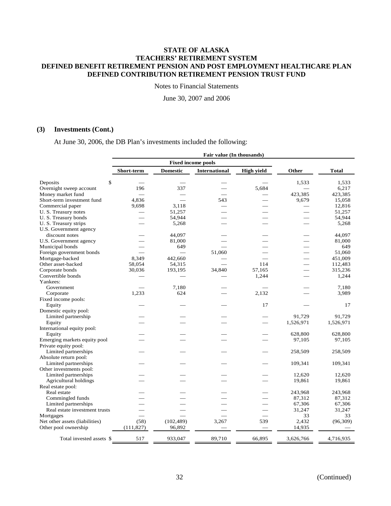Notes to Financial Statements

June 30, 2007 and 2006

### **(3) Investments (Cont.)**

At June 30, 2006, the DB Plan's investments included the following:

|                                        |                          |                 | Fair value (In thousands) |                   |           |              |
|----------------------------------------|--------------------------|-----------------|---------------------------|-------------------|-----------|--------------|
|                                        |                          |                 | <b>Fixed income pools</b> |                   |           |              |
|                                        | Short-term               | <b>Domestic</b> | <b>International</b>      | <b>High yield</b> | Other     | <b>Total</b> |
| \$<br>Deposits                         |                          |                 |                           |                   | 1,533     | 1.533        |
| Overnight sweep account                | 196                      | 337             |                           | 5.684             |           | 6.217        |
| Money market fund                      | $\overline{\phantom{0}}$ |                 |                           |                   | 423,385   | 423,385      |
| Short-term investment fund             | 4.836                    |                 | 543                       |                   | 9,679     | 15,058       |
| Commercial paper                       | 9,698                    | 3.118           |                           |                   |           | 12,816       |
|                                        |                          | 51,257          |                           |                   |           | 51,257       |
| U. S. Treasury notes                   |                          |                 |                           |                   |           |              |
| U.S. Treasury bonds                    |                          | 54,944          |                           |                   |           | 54,944       |
| U. S. Treasury strips                  |                          | 5,268           |                           |                   |           | 5,268        |
| U.S. Government agency                 |                          |                 |                           |                   |           |              |
| discount notes                         |                          | 44,097          |                           |                   |           | 44,097       |
| U.S. Government agency                 |                          | 81,000          |                           |                   |           | 81,000       |
| Municipal bonds                        |                          | 649             |                           |                   |           | 649          |
| Foreign government bonds               |                          |                 | 51,060                    |                   |           | 51,060       |
| Mortgage-backed                        | 8,349                    | 442,660         |                           |                   |           | 451,009      |
| Other asset-backed                     | 58,054                   | 54,315          |                           | 114               |           | 112,483      |
| Corporate bonds                        | 30,036                   | 193,195         | 34,840                    | 57,165            |           | 315,236      |
| Convertible bonds                      |                          |                 |                           | 1,244             |           | 1,244        |
| Yankees:                               |                          |                 |                           |                   |           |              |
| Government                             |                          | 7,180           |                           |                   |           | 7,180        |
| Corporate                              | 1,233                    | 624             |                           | 2,132             |           | 3,989        |
| Fixed income pools:                    |                          |                 |                           |                   |           |              |
| Equity                                 |                          |                 |                           | 17                |           | 17           |
| Domestic equity pool:                  |                          |                 |                           |                   |           |              |
| Limited partnership                    |                          |                 |                           |                   | 91.729    | 91,729       |
| Equity                                 |                          |                 |                           |                   | 1,526,971 | 1,526,971    |
| International equity pool:             |                          |                 |                           |                   |           |              |
|                                        |                          |                 |                           |                   | 628,800   | 628,800      |
| Equity<br>Emerging markets equity pool |                          |                 |                           |                   |           |              |
|                                        |                          |                 |                           |                   | 97,105    | 97,105       |
| Private equity pool:                   |                          |                 |                           |                   |           |              |
| Limited partnerships                   |                          |                 |                           |                   | 258,509   | 258,509      |
| Absolute return pool:                  |                          |                 |                           |                   |           |              |
| Limited partnerships                   |                          |                 |                           |                   | 109,341   | 109,341      |
| Other investments pool:                |                          |                 |                           |                   |           |              |
| Limited partnerships                   |                          |                 |                           |                   | 12,620    | 12,620       |
| <b>Agricultural holdings</b>           |                          |                 |                           |                   | 19,861    | 19,861       |
| Real estate pool:                      |                          |                 |                           |                   |           |              |
| Real estate                            |                          |                 |                           |                   | 243,968   | 243,968      |
| Commingled funds                       |                          |                 |                           |                   | 87,312    | 87,312       |
| Limited partnerships                   |                          |                 |                           |                   | 67,306    | 67,306       |
| Real estate investment trusts          |                          |                 |                           |                   | 31,247    | 31,247       |
| Mortgages                              |                          |                 |                           |                   | 33        | 33           |
| Net other assets (liabilities)         | (58)                     | (102, 489)      | 3,267                     | 539               | 2,432     | (96, 309)    |
| Other pool ownership                   | (111, 827)               | 96,892          |                           |                   | 14,935    |              |
|                                        |                          |                 |                           |                   |           |              |
| Total invested assets \$               | 517                      | 933,047         | 89,710                    | 66,895            | 3,626,766 | 4,716,935    |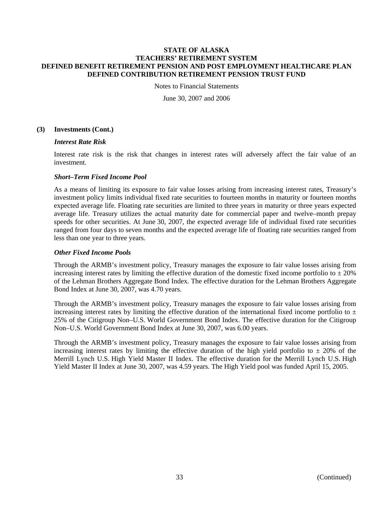Notes to Financial Statements

June 30, 2007 and 2006

### **(3) Investments (Cont.)**

#### *Interest Rate Risk*

Interest rate risk is the risk that changes in interest rates will adversely affect the fair value of an investment.

#### *Short–Term Fixed Income Pool*

As a means of limiting its exposure to fair value losses arising from increasing interest rates, Treasury's investment policy limits individual fixed rate securities to fourteen months in maturity or fourteen months expected average life. Floating rate securities are limited to three years in maturity or three years expected average life. Treasury utilizes the actual maturity date for commercial paper and twelve–month prepay speeds for other securities. At June 30, 2007, the expected average life of individual fixed rate securities ranged from four days to seven months and the expected average life of floating rate securities ranged from less than one year to three years.

## *Other Fixed Income Pools*

Through the ARMB's investment policy, Treasury manages the exposure to fair value losses arising from increasing interest rates by limiting the effective duration of the domestic fixed income portfolio to  $\pm 20\%$ of the Lehman Brothers Aggregate Bond Index. The effective duration for the Lehman Brothers Aggregate Bond Index at June 30, 2007, was 4.70 years.

Through the ARMB's investment policy, Treasury manages the exposure to fair value losses arising from increasing interest rates by limiting the effective duration of the international fixed income portfolio to  $\pm$ 25% of the Citigroup Non–U.S. World Government Bond Index. The effective duration for the Citigroup Non–U.S. World Government Bond Index at June 30, 2007, was 6.00 years.

Through the ARMB's investment policy, Treasury manages the exposure to fair value losses arising from increasing interest rates by limiting the effective duration of the high yield portfolio to  $\pm$  20% of the Merrill Lynch U.S. High Yield Master II Index. The effective duration for the Merrill Lynch U.S. High Yield Master II Index at June 30, 2007, was 4.59 years. The High Yield pool was funded April 15, 2005.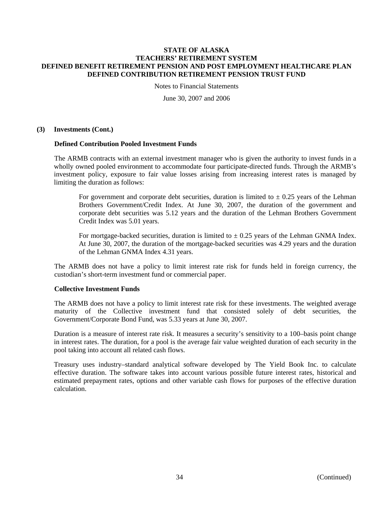Notes to Financial Statements

June 30, 2007 and 2006

#### **(3) Investments (Cont.)**

#### **Defined Contribution Pooled Investment Funds**

The ARMB contracts with an external investment manager who is given the authority to invest funds in a wholly owned pooled environment to accommodate four participate-directed funds. Through the ARMB's investment policy, exposure to fair value losses arising from increasing interest rates is managed by limiting the duration as follows:

For government and corporate debt securities, duration is limited to  $\pm$  0.25 years of the Lehman Brothers Government/Credit Index. At June 30, 2007, the duration of the government and corporate debt securities was 5.12 years and the duration of the Lehman Brothers Government Credit Index was 5.01 years.

For mortgage-backed securities, duration is limited to  $\pm$  0.25 years of the Lehman GNMA Index. At June 30, 2007, the duration of the mortgage-backed securities was 4.29 years and the duration of the Lehman GNMA Index 4.31 years.

The ARMB does not have a policy to limit interest rate risk for funds held in foreign currency, the custodian's short-term investment fund or commercial paper.

#### **Collective Investment Funds**

The ARMB does not have a policy to limit interest rate risk for these investments. The weighted average maturity of the Collective investment fund that consisted solely of debt securities, the Government/Corporate Bond Fund, was 5.33 years at June 30, 2007.

Duration is a measure of interest rate risk. It measures a security's sensitivity to a 100–basis point change in interest rates. The duration, for a pool is the average fair value weighted duration of each security in the pool taking into account all related cash flows.

Treasury uses industry–standard analytical software developed by The Yield Book Inc. to calculate effective duration. The software takes into account various possible future interest rates, historical and estimated prepayment rates, options and other variable cash flows for purposes of the effective duration calculation.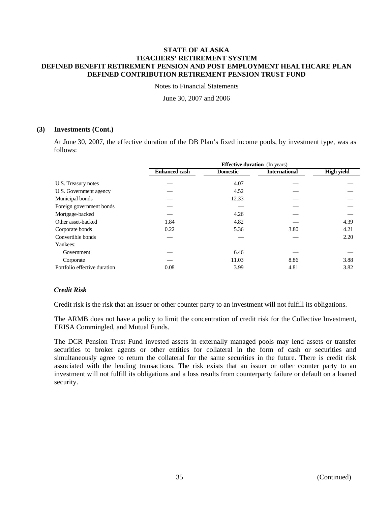Notes to Financial Statements

June 30, 2007 and 2006

### **(3) Investments (Cont.)**

At June 30, 2007, the effective duration of the DB Plan's fixed income pools, by investment type, was as follows:

|                              | <b>Effective duration</b> (In years) |                 |                      |                   |  |  |
|------------------------------|--------------------------------------|-----------------|----------------------|-------------------|--|--|
|                              | <b>Enhanced cash</b>                 | <b>Domestic</b> | <b>International</b> | <b>High yield</b> |  |  |
| U.S. Treasury notes          |                                      | 4.07            |                      |                   |  |  |
| U.S. Government agency       |                                      | 4.52            |                      |                   |  |  |
| Municipal bonds              |                                      | 12.33           |                      |                   |  |  |
| Foreign government bonds     |                                      |                 |                      |                   |  |  |
| Mortgage-backed              |                                      | 4.26            |                      |                   |  |  |
| Other asset-backed           | 1.84                                 | 4.82            |                      | 4.39              |  |  |
| Corporate bonds              | 0.22                                 | 5.36            | 3.80                 | 4.21              |  |  |
| Convertible bonds            |                                      |                 |                      | 2.20              |  |  |
| Yankees:                     |                                      |                 |                      |                   |  |  |
| Government                   |                                      | 6.46            |                      |                   |  |  |
| Corporate                    |                                      | 11.03           | 8.86                 | 3.88              |  |  |
| Portfolio effective duration | 0.08                                 | 3.99            | 4.81                 | 3.82              |  |  |

## *Credit Risk*

Credit risk is the risk that an issuer or other counter party to an investment will not fulfill its obligations.

The ARMB does not have a policy to limit the concentration of credit risk for the Collective Investment, ERISA Commingled, and Mutual Funds.

The DCR Pension Trust Fund invested assets in externally managed pools may lend assets or transfer securities to broker agents or other entities for collateral in the form of cash or securities and simultaneously agree to return the collateral for the same securities in the future. There is credit risk associated with the lending transactions. The risk exists that an issuer or other counter party to an investment will not fulfill its obligations and a loss results from counterparty failure or default on a loaned security.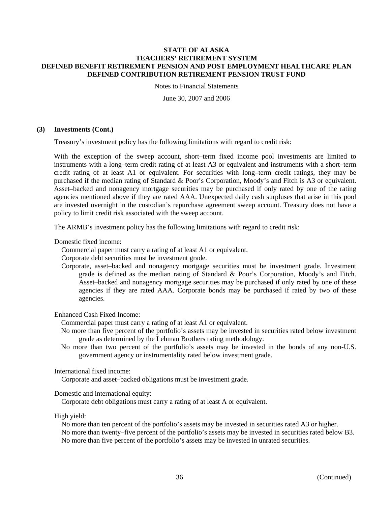Notes to Financial Statements

June 30, 2007 and 2006

#### **(3) Investments (Cont.)**

Treasury's investment policy has the following limitations with regard to credit risk:

With the exception of the sweep account, short–term fixed income pool investments are limited to instruments with a long–term credit rating of at least A3 or equivalent and instruments with a short–term credit rating of at least A1 or equivalent. For securities with long–term credit ratings, they may be purchased if the median rating of Standard & Poor's Corporation, Moody's and Fitch is A3 or equivalent. Asset–backed and nonagency mortgage securities may be purchased if only rated by one of the rating agencies mentioned above if they are rated AAA. Unexpected daily cash surpluses that arise in this pool are invested overnight in the custodian's repurchase agreement sweep account. Treasury does not have a policy to limit credit risk associated with the sweep account.

The ARMB's investment policy has the following limitations with regard to credit risk:

Domestic fixed income:

Commercial paper must carry a rating of at least A1 or equivalent.

Corporate debt securities must be investment grade.

Corporate, asset–backed and nonagency mortgage securities must be investment grade. Investment grade is defined as the median rating of Standard & Poor's Corporation, Moody's and Fitch. Asset–backed and nonagency mortgage securities may be purchased if only rated by one of these agencies if they are rated AAA. Corporate bonds may be purchased if rated by two of these agencies.

Enhanced Cash Fixed Income:

Commercial paper must carry a rating of at least A1 or equivalent.

- No more than five percent of the portfolio's assets may be invested in securities rated below investment grade as determined by the Lehman Brothers rating methodology.
- No more than two percent of the portfolio's assets may be invested in the bonds of any non-U.S. government agency or instrumentality rated below investment grade.

International fixed income:

Corporate and asset–backed obligations must be investment grade.

Domestic and international equity:

Corporate debt obligations must carry a rating of at least A or equivalent.

High yield:

No more than ten percent of the portfolio's assets may be invested in securities rated A3 or higher. No more than twenty–five percent of the portfolio's assets may be invested in securities rated below B3. No more than five percent of the portfolio's assets may be invested in unrated securities.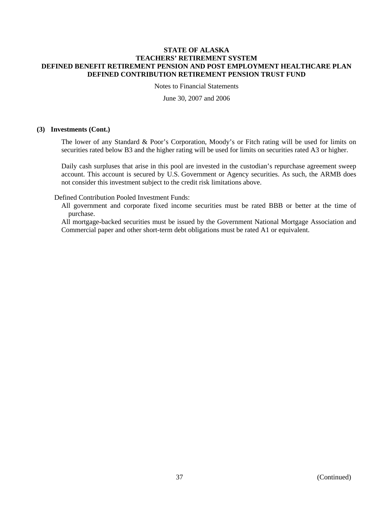Notes to Financial Statements

June 30, 2007 and 2006

#### **(3) Investments (Cont.)**

The lower of any Standard & Poor's Corporation, Moody's or Fitch rating will be used for limits on securities rated below B3 and the higher rating will be used for limits on securities rated A3 or higher.

Daily cash surpluses that arise in this pool are invested in the custodian's repurchase agreement sweep account. This account is secured by U.S. Government or Agency securities. As such, the ARMB does not consider this investment subject to the credit risk limitations above.

Defined Contribution Pooled Investment Funds:

All government and corporate fixed income securities must be rated BBB or better at the time of purchase.

All mortgage-backed securities must be issued by the Government National Mortgage Association and Commercial paper and other short-term debt obligations must be rated A1 or equivalent.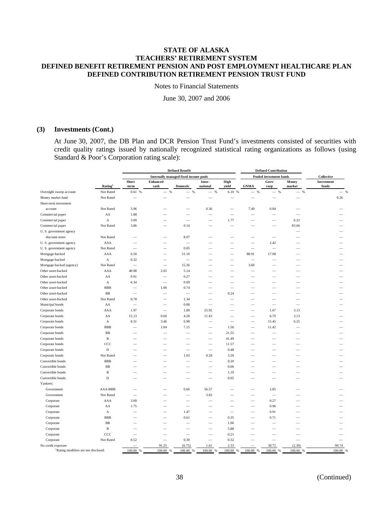Notes to Financial Statements

June 30, 2007 and 2006

### **(3) Investments (Cont.)**

At June 30, 2007, the DB Plan and DCR Pension Trust Fund's investments consisted of securities with credit quality ratings issued by nationally recognized statistical rating organizations as follows (using Standard & Poor's Corporation rating scale):

|                                                                        |                     | <b>Defined Benefit</b>   |                                              |                               |                                 |                          |                          | <b>Defined Contribution</b> |                                   |                        |
|------------------------------------------------------------------------|---------------------|--------------------------|----------------------------------------------|-------------------------------|---------------------------------|--------------------------|--------------------------|-----------------------------|-----------------------------------|------------------------|
|                                                                        |                     |                          | <b>Internally managed fixed income pools</b> |                               |                                 |                          |                          | Pooled investment funds     |                                   | Collective             |
|                                                                        | Rating <sup>1</sup> | Short<br>-term           | <b>Enhanced</b><br>cash                      | <b>Domestic</b>               | Inter-<br>national              | High<br>yield            | <b>GNMA</b>              | Govt/<br>corp               | Money<br>market                   | Investment<br>funds    |
| Overnight sweep account                                                | Not Rated           | 0.61%                    | %<br>$\overline{\phantom{0}}$                | %<br>$\overline{\phantom{0}}$ | %                               | 6.10 %                   | %<br>-                   | %                           | $\%$<br>$\overline{\phantom{0}}$  | $-$ %                  |
| Money market fund                                                      | Not Rated           |                          |                                              |                               |                                 |                          |                          |                             |                                   | 0.26                   |
| Short-term investment                                                  |                     |                          |                                              |                               |                                 |                          |                          |                             |                                   |                        |
| account                                                                | Not Rated           | 3.96                     |                                              |                               | 0.36                            |                          | 7.40                     | 0.84                        |                                   |                        |
| Commercial paper                                                       | AA                  | 1.88                     |                                              |                               | $\overline{\phantom{a}}$        | $\overline{\phantom{0}}$ | $\overline{\phantom{a}}$ |                             | $\equiv$                          |                        |
| Commercial paper                                                       | A                   | 3.09                     |                                              |                               |                                 | 1.77                     |                          |                             | 6.22                              |                        |
| Commercial paper                                                       | Not Rated           | 3.86                     |                                              | 0.14                          |                                 | $\overline{\phantom{a}}$ |                          | $\equiv$                    | 83.66                             |                        |
| U. S. government agency                                                |                     |                          |                                              |                               |                                 |                          |                          |                             |                                   |                        |
| discount notes                                                         | Not Rated           |                          |                                              | 8.07                          |                                 |                          |                          | $\overline{\phantom{0}}$    |                                   |                        |
| U. S. government agency                                                | AAA                 | -                        |                                              | -                             |                                 |                          |                          | 2.42                        |                                   |                        |
| U. S. government agency                                                | Not Rated           |                          | -                                            | 0.05                          | -                               |                          | $\overline{\phantom{a}}$ |                             |                                   |                        |
| Mortgage-backed                                                        | AAA                 | 6.50                     |                                              | 51.10                         |                                 |                          | 88.91                    | 17.08                       |                                   |                        |
| Mortgage-backed                                                        | A                   | 0.32                     |                                              | $\overline{\phantom{a}}$      |                                 |                          | $\overline{\phantom{a}}$ |                             |                                   |                        |
| Mortgage-backed (agency)                                               | Not Rated           |                          |                                              | 15.36                         |                                 |                          | 3.69                     |                             |                                   |                        |
| Other asset-backed                                                     | AAA                 | 40.98                    | 2.65                                         | 5.14                          |                                 |                          |                          |                             |                                   |                        |
| Other asset-backed                                                     | AA                  | 0.91                     | $\overline{\phantom{0}}$                     | 0.27                          |                                 |                          |                          |                             |                                   |                        |
| Other asset-backed                                                     | A                   | 6.34                     | -                                            | 0.09                          |                                 |                          |                          |                             |                                   |                        |
| Other asset-backed                                                     | <b>BBB</b>          | $\overline{\phantom{0}}$ | 1.00                                         | 0.74                          |                                 | $\overline{\phantom{0}}$ |                          |                             |                                   |                        |
| Other asset-backed                                                     | BB                  |                          | $\overline{\phantom{a}}$                     |                               |                                 | 0.24                     |                          |                             |                                   |                        |
| Other asset-backed                                                     | Not Rated           | 0.78                     | -                                            | 1.34                          | $\overline{\phantom{a}}$        | $\overline{\phantom{0}}$ | -                        |                             |                                   |                        |
| Municipal bonds                                                        | AA                  | $\overline{\phantom{a}}$ |                                              | 0.08                          |                                 |                          |                          |                             | $\overline{\phantom{a}}$          |                        |
| Corporate bonds                                                        | AAA                 | 1.97                     | -                                            | 1.89                          | 25.92                           |                          | $\overline{\phantom{a}}$ | 1.67                        | 3.13                              |                        |
| Corporate bonds                                                        | AA                  | 15.13                    | 0.60                                         | 4.28                          | 11.43                           |                          |                          | 6.70                        | 3.13                              |                        |
| Corporate bonds                                                        | A                   | 8.31                     | 3.46                                         | 6.98                          | $\overline{\phantom{m}}$        |                          |                          | 15.45                       | 6.25                              |                        |
| Corporate bonds                                                        | <b>BBB</b>          | -                        | 1.04                                         | 7.15                          |                                 | 1.56                     | -                        | 11.42                       | -                                 |                        |
| Corporate bonds                                                        | BB                  |                          |                                              |                               |                                 | 21.55                    | $\overline{\phantom{m}}$ |                             |                                   |                        |
| Corporate bonds                                                        | B                   |                          |                                              |                               |                                 | 41.49                    |                          |                             |                                   |                        |
| Corporate bonds                                                        | CCC                 |                          |                                              |                               |                                 | 11.57                    |                          |                             |                                   |                        |
| Corporate bonds                                                        | D                   |                          |                                              |                               |                                 | 0.48                     |                          |                             |                                   |                        |
| Corporate bonds                                                        | Not Rated           |                          |                                              | 1.03                          | 0.28                            | 3.59                     |                          |                             |                                   |                        |
| Convertible bonds                                                      | <b>BBB</b>          |                          |                                              |                               |                                 | 0.20                     |                          |                             |                                   |                        |
| Convertible bonds                                                      | BB                  |                          |                                              |                               |                                 | 0.06                     |                          |                             |                                   |                        |
| Convertible bonds                                                      | $\overline{B}$      |                          |                                              |                               |                                 | 1.19                     |                          |                             |                                   |                        |
| Convertible bonds                                                      | D                   |                          |                                              |                               |                                 | 0.05                     |                          |                             |                                   |                        |
| Yankees:                                                               |                     |                          |                                              |                               |                                 |                          |                          |                             |                                   |                        |
| Government                                                             | AAA-BBB             |                          |                                              | 0.66                          | 56.57                           |                          |                          | 2.85                        |                                   |                        |
| Government                                                             | Not Rated           |                          |                                              |                               | 3.83                            |                          |                          |                             |                                   |                        |
| Corporate                                                              | AAA                 | 3.09                     |                                              | -                             | $\overline{\phantom{a}}$        |                          | $\overline{\phantom{a}}$ | 0.27                        |                                   |                        |
| Corporate                                                              | AA                  | 1.75                     |                                              | -                             |                                 |                          | -                        | 0.96                        |                                   |                        |
|                                                                        |                     |                          |                                              | 1.47                          |                                 |                          |                          | 0.91                        |                                   |                        |
| Corporate                                                              | $\boldsymbol{A}$    |                          |                                              |                               |                                 | $\overline{\phantom{m}}$ |                          |                             |                                   |                        |
| Corporate                                                              | <b>BBB</b>          | -                        |                                              | 0.61                          |                                 | 0.35                     |                          | 0.71                        |                                   |                        |
| Corporate                                                              | BB                  |                          |                                              |                               | $\overline{\phantom{0}}$        | 1.06                     |                          |                             |                                   |                        |
| Corporate                                                              | B                   | $\overline{\phantom{0}}$ |                                              |                               | $\overline{\phantom{0}}$        | 5.88                     |                          |                             |                                   |                        |
| Corporate                                                              | CCC                 |                          |                                              |                               | ÷.                              | 0.21                     |                          |                             |                                   |                        |
| Corporate                                                              | Not Rated           | 0.52                     |                                              | 0.30                          |                                 | 0.32<br>2.33             |                          |                             |                                   | 99.74                  |
| No credit exposure<br><sup>1</sup> Rating modifiers are not disclosed. |                     | 100.00<br>$\%$           | 91.25<br>100.00<br>%                         | (6.75)<br>100.00<br>%         | 1.61<br>100.00<br>$\frac{9}{6}$ | 100.00<br>%              | 100.00<br>$\%$           | 38.72<br>100.00<br>- %      | (2.39)<br>100.00<br>$\frac{9}{6}$ | 100.00<br>$\mathbf{Q}$ |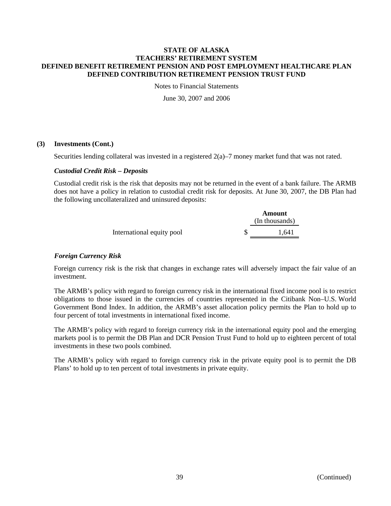Notes to Financial Statements

June 30, 2007 and 2006

## **(3) Investments (Cont.)**

Securities lending collateral was invested in a registered 2(a)–7 money market fund that was not rated.

### *Custodial Credit Risk – Deposits*

Custodial credit risk is the risk that deposits may not be returned in the event of a bank failure. The ARMB does not have a policy in relation to custodial credit risk for deposits. At June 30, 2007, the DB Plan had the following uncollateralized and uninsured deposits:

|                           | Amount         |
|---------------------------|----------------|
|                           | (In thousands) |
| International equity pool | 1.641          |

## *Foreign Currency Risk*

Foreign currency risk is the risk that changes in exchange rates will adversely impact the fair value of an investment.

The ARMB's policy with regard to foreign currency risk in the international fixed income pool is to restrict obligations to those issued in the currencies of countries represented in the Citibank Non–U.S. World Government Bond Index. In addition, the ARMB's asset allocation policy permits the Plan to hold up to four percent of total investments in international fixed income.

The ARMB's policy with regard to foreign currency risk in the international equity pool and the emerging markets pool is to permit the DB Plan and DCR Pension Trust Fund to hold up to eighteen percent of total investments in these two pools combined.

The ARMB's policy with regard to foreign currency risk in the private equity pool is to permit the DB Plans' to hold up to ten percent of total investments in private equity.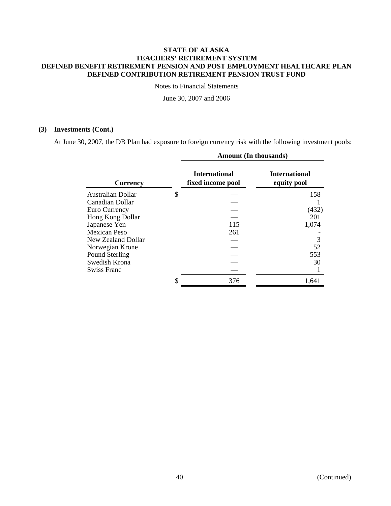Notes to Financial Statements

June 30, 2007 and 2006

# **(3) Investments (Cont.)**

L,

At June 30, 2007, the DB Plan had exposure to foreign currency risk with the following investment pools:

|                    | <b>Amount (In thousands)</b>              |                                     |  |  |  |
|--------------------|-------------------------------------------|-------------------------------------|--|--|--|
| <b>Currency</b>    | <b>International</b><br>fixed income pool | <b>International</b><br>equity pool |  |  |  |
| Australian Dollar  | \$                                        | 158                                 |  |  |  |
| Canadian Dollar    |                                           |                                     |  |  |  |
| Euro Currency      |                                           | (432)                               |  |  |  |
| Hong Kong Dollar   |                                           | 201                                 |  |  |  |
| Japanese Yen       | 115                                       | 1,074                               |  |  |  |
| Mexican Peso       | 261                                       |                                     |  |  |  |
| New Zealand Dollar |                                           |                                     |  |  |  |
| Norwegian Krone    |                                           | 52                                  |  |  |  |
| Pound Sterling     |                                           | 553                                 |  |  |  |
| Swedish Krona      |                                           | 30                                  |  |  |  |
| Swiss Franc        |                                           |                                     |  |  |  |
|                    | \$<br>376                                 | 1,641                               |  |  |  |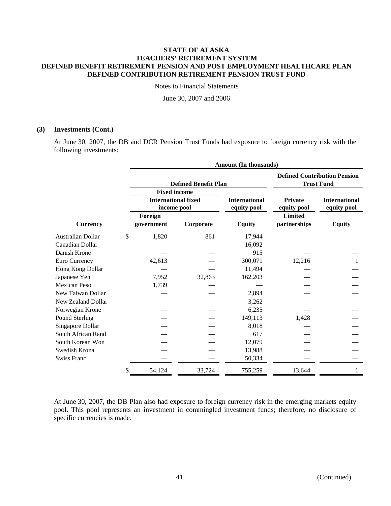Notes to Financial Statements

June 30, 2007 and 2006

#### **(3) Investments (Cont.)**

At June 30, 2007, the DB and DCR Pension Trust Funds had exposure to foreign currency risk with the following investments:

|                     | Amount (In thousands)                     |                             |                                                          |                               |                                     |  |  |  |
|---------------------|-------------------------------------------|-----------------------------|----------------------------------------------------------|-------------------------------|-------------------------------------|--|--|--|
|                     |                                           | <b>Defined Benefit Plan</b> | <b>Defined Contribution Pension</b><br><b>Trust Fund</b> |                               |                                     |  |  |  |
|                     | <b>Fixed income</b>                       |                             |                                                          |                               |                                     |  |  |  |
|                     | <b>International fixed</b><br>income pool |                             | <b>International</b><br>equity pool                      | <b>Private</b><br>equity pool | <b>International</b><br>equity pool |  |  |  |
|                     | Foreign                                   |                             |                                                          | <b>Limited</b>                |                                     |  |  |  |
| <b>Currency</b>     | government                                | Corporate                   | <b>Equity</b>                                            | partnerships                  | <b>Equity</b>                       |  |  |  |
| Australian Dollar   | \$<br>1,820                               | 861                         | 17,944                                                   |                               |                                     |  |  |  |
| Canadian Dollar     |                                           |                             | 16,092                                                   |                               |                                     |  |  |  |
| Danish Krone        |                                           |                             | 915                                                      |                               |                                     |  |  |  |
| Euro Currency       | 42,613                                    |                             | 300,071                                                  | 12,216                        |                                     |  |  |  |
| Hong Kong Dollar    |                                           |                             | 11,494                                                   |                               |                                     |  |  |  |
| Japanese Yen        | 7,952                                     | 32,863                      | 162,203                                                  |                               |                                     |  |  |  |
| <b>Mexican Peso</b> | 1,739                                     |                             |                                                          |                               |                                     |  |  |  |
| New Taiwan Dollar   |                                           |                             | 2,894                                                    |                               |                                     |  |  |  |
| New Zealand Dollar  |                                           |                             | 3,262                                                    |                               |                                     |  |  |  |
| Norwegian Krone     |                                           |                             | 6,235                                                    |                               |                                     |  |  |  |
| Pound Sterling      |                                           |                             | 149,113                                                  | 1,428                         |                                     |  |  |  |
| Singapore Dollar    |                                           |                             | 8,018                                                    |                               |                                     |  |  |  |
| South African Rand  |                                           |                             | 617                                                      |                               |                                     |  |  |  |
| South Korean Won    |                                           |                             | 12,079                                                   |                               |                                     |  |  |  |
| Swedish Krona       |                                           |                             | 13,988                                                   |                               |                                     |  |  |  |
| <b>Swiss Franc</b>  |                                           |                             | 50,334                                                   |                               |                                     |  |  |  |
|                     | \$<br>54,124                              | 33,724                      | 755,259                                                  | 13,644                        | 1                                   |  |  |  |

At June 30, 2007, the DB Plan also had exposure to foreign currency risk in the emerging markets equity pool. This pool represents an investment in commingled investment funds; therefore, no disclosure of specific currencies is made.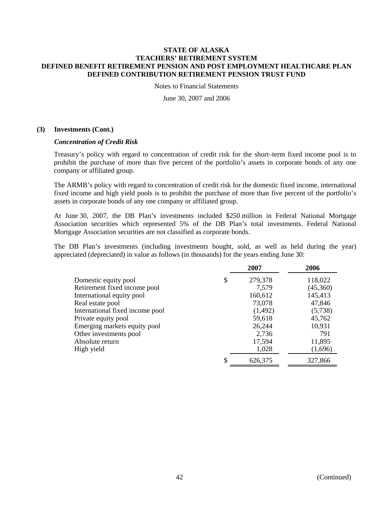Notes to Financial Statements

June 30, 2007 and 2006

#### **(3) Investments (Cont.)**

#### *Concentration of Credit Risk*

Treasury's policy with regard to concentration of credit risk for the short–term fixed income pool is to prohibit the purchase of more than five percent of the portfolio's assets in corporate bonds of any one company or affiliated group.

The ARMB's policy with regard to concentration of credit risk for the domestic fixed income, international fixed income and high yield pools is to prohibit the purchase of more than five percent of the portfolio's assets in corporate bonds of any one company or affiliated group.

At June 30, 2007, the DB Plan's investments included \$250 million in Federal National Mortgage Association securities which represented 5% of the DB Plan's total investments. Federal National Mortgage Association securities are not classified as corporate bonds.

The DB Plan's investments (including investments bought, sold, as well as held during the year) appreciated (depreciated) in value as follows (in thousands) for the years ending June 30:

|                                 | 2007    | 2006     |
|---------------------------------|---------|----------|
| \$<br>Domestic equity pool      | 279,378 | 118,022  |
| Retirement fixed income pool    | 7,579   | (45,360) |
| International equity pool       | 160,612 | 145,413  |
| Real estate pool                | 73,078  | 47,846   |
| International fixed income pool | (1,492) | (5,738)  |
| Private equity pool             | 59,618  | 45,762   |
| Emerging markets equity pool    | 26,244  | 10,931   |
| Other investments pool          | 2,736   | 791      |
| Absolute return                 | 17,594  | 11,895   |
| High yield                      | 1,028   | (1,696)  |
| S                               | 626,375 | 327,866  |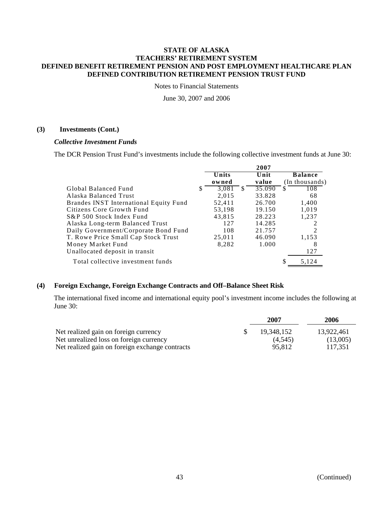Notes to Financial Statements

June 30, 2007 and 2006

#### **(3) Investments (Cont.)**

#### *Collective Investment Funds*

The DCR Pension Trust Fund's investments include the following collective investment funds at June 30:

|                                        |     |        |    | 2007   |          |                |
|----------------------------------------|-----|--------|----|--------|----------|----------------|
|                                        |     | Units  |    | Unit   |          | <b>Balance</b> |
|                                        |     | owned  |    | value  |          | (In thousands) |
| Global Balanced Fund                   | \$. | 3,081  | -S | 35.090 | <b>S</b> | 108            |
| Alaska Balanced Trust                  |     | 2.015  |    | 33.828 |          | 68             |
| Brandes INST International Equity Fund |     | 52,411 |    | 26.700 |          | 1,400          |
| Citizens Core Growth Fund              |     | 53,198 |    | 19.150 |          | 1.019          |
| S&P 500 Stock Index Fund               |     | 43,815 |    | 28.223 |          | 1,237          |
| Alaska Long-term Balanced Trust        |     | 127    |    | 14.285 |          |                |
| Daily Government/Corporate Bond Fund   |     | 108    |    | 21.757 |          |                |
| T. Rowe Price Small Cap Stock Trust    |     | 25,011 |    | 46.090 |          | 1.153          |
| Money Market Fund                      |     | 8,282  |    | 1.000  |          | 8              |
| Unallocated deposit in transit         |     |        |    |        |          | 127            |
| Total collective investment funds      |     |        |    |        | \$       | 5,124          |

## **(4) Foreign Exchange, Foreign Exchange Contracts and Off–Balance Sheet Risk**

The international fixed income and international equity pool's investment income includes the following at June 30:

|                                                 | 2007       | 2006       |
|-------------------------------------------------|------------|------------|
| Net realized gain on foreign currency           | 19.348.152 | 13.922.461 |
| Net unrealized loss on foreign currency         | (4.545)    | (13,005)   |
| Net realized gain on foreign exchange contracts | 95,812     | 117.351    |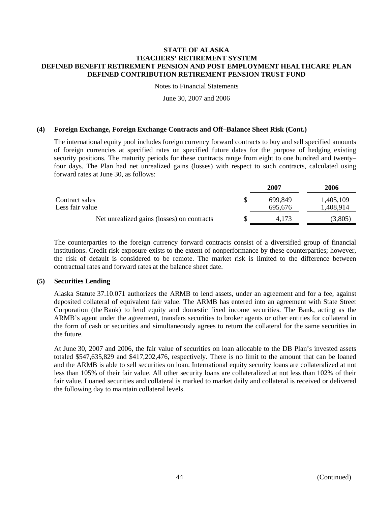Notes to Financial Statements

June 30, 2007 and 2006

#### **(4) Foreign Exchange, Foreign Exchange Contracts and Off–Balance Sheet Risk (Cont.)**

The international equity pool includes foreign currency forward contracts to buy and sell specified amounts of foreign currencies at specified rates on specified future dates for the purpose of hedging existing security positions. The maturity periods for these contracts range from eight to one hundred and twenty– four days. The Plan had net unrealized gains (losses) with respect to such contracts, calculated using forward rates at June 30, as follows:

|                                            | 2007    | 2006      |
|--------------------------------------------|---------|-----------|
| Contract sales                             | 699.849 | 1,405,109 |
| Less fair value                            | 695,676 | 1,408,914 |
| Net unrealized gains (losses) on contracts | 4.173   | (3,805)   |
|                                            |         |           |

The counterparties to the foreign currency forward contracts consist of a diversified group of financial institutions. Credit risk exposure exists to the extent of nonperformance by these counterparties; however, the risk of default is considered to be remote. The market risk is limited to the difference between contractual rates and forward rates at the balance sheet date.

#### **(5) Securities Lending**

Alaska Statute 37.10.071 authorizes the ARMB to lend assets, under an agreement and for a fee, against deposited collateral of equivalent fair value. The ARMB has entered into an agreement with State Street Corporation (the Bank) to lend equity and domestic fixed income securities. The Bank, acting as the ARMB's agent under the agreement, transfers securities to broker agents or other entities for collateral in the form of cash or securities and simultaneously agrees to return the collateral for the same securities in the future.

At June 30, 2007 and 2006, the fair value of securities on loan allocable to the DB Plan's invested assets totaled \$547,635,829 and \$417,202,476, respectively. There is no limit to the amount that can be loaned and the ARMB is able to sell securities on loan. International equity security loans are collateralized at not less than 105% of their fair value. All other security loans are collateralized at not less than 102% of their fair value. Loaned securities and collateral is marked to market daily and collateral is received or delivered the following day to maintain collateral levels.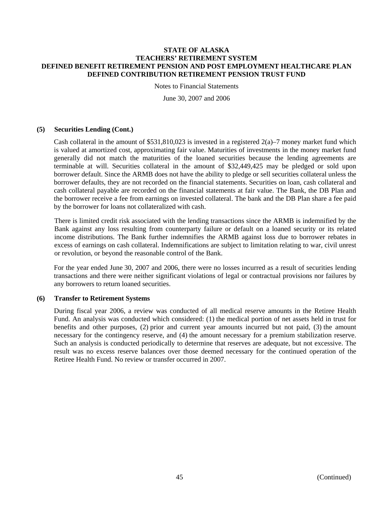Notes to Financial Statements

June 30, 2007 and 2006

### **(5) Securities Lending (Cont.)**

Cash collateral in the amount of  $$531,810,023$  is invested in a registered  $2(a)$ –7 money market fund which is valued at amortized cost, approximating fair value. Maturities of investments in the money market fund generally did not match the maturities of the loaned securities because the lending agreements are terminable at will. Securities collateral in the amount of \$32,449,425 may be pledged or sold upon borrower default. Since the ARMB does not have the ability to pledge or sell securities collateral unless the borrower defaults, they are not recorded on the financial statements. Securities on loan, cash collateral and cash collateral payable are recorded on the financial statements at fair value. The Bank, the DB Plan and the borrower receive a fee from earnings on invested collateral. The bank and the DB Plan share a fee paid by the borrower for loans not collateralized with cash.

There is limited credit risk associated with the lending transactions since the ARMB is indemnified by the Bank against any loss resulting from counterparty failure or default on a loaned security or its related income distributions. The Bank further indemnifies the ARMB against loss due to borrower rebates in excess of earnings on cash collateral. Indemnifications are subject to limitation relating to war, civil unrest or revolution, or beyond the reasonable control of the Bank.

For the year ended June 30, 2007 and 2006, there were no losses incurred as a result of securities lending transactions and there were neither significant violations of legal or contractual provisions nor failures by any borrowers to return loaned securities.

#### **(6) Transfer to Retirement Systems**

During fiscal year 2006, a review was conducted of all medical reserve amounts in the Retiree Health Fund. An analysis was conducted which considered: (1) the medical portion of net assets held in trust for benefits and other purposes, (2) prior and current year amounts incurred but not paid, (3) the amount necessary for the contingency reserve, and (4) the amount necessary for a premium stabilization reserve. Such an analysis is conducted periodically to determine that reserves are adequate, but not excessive. The result was no excess reserve balances over those deemed necessary for the continued operation of the Retiree Health Fund. No review or transfer occurred in 2007.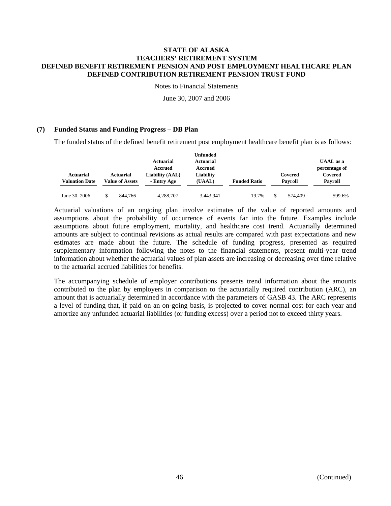Notes to Financial Statements

June 30, 2007 and 2006

## **(7) Funded Status and Funding Progress – DB Plan**

The funded status of the defined benefit retirement post employment healthcare benefit plan is as follows:

|                       |                        |                  | Unfunded         |                     |         |                  |
|-----------------------|------------------------|------------------|------------------|---------------------|---------|------------------|
|                       |                        | <b>Actuarial</b> | <b>Actuarial</b> |                     |         | <b>UAAL</b> as a |
|                       |                        | Accrued          | Accrued          |                     |         | percentage of    |
| <b>Actuarial</b>      | <b>Actuarial</b>       | Liability (AAL)  | Liability        |                     | Covered | Covered          |
| <b>Valuation Date</b> | <b>Value of Assets</b> | - Entry Age      | (UAAL)           | <b>Funded Ratio</b> | Pavroll | Payroll          |
|                       |                        |                  |                  |                     |         |                  |
| June 30, 2006         | 844,766                | 4,288,707        | 3,443,941        | 19.7%               | 574,409 | 599.6%           |

Actuarial valuations of an ongoing plan involve estimates of the value of reported amounts and assumptions about the probability of occurrence of events far into the future. Examples include assumptions about future employment, mortality, and healthcare cost trend. Actuarially determined amounts are subject to continual revisions as actual results are compared with past expectations and new estimates are made about the future. The schedule of funding progress, presented as required supplementary information following the notes to the financial statements, present multi-year trend information about whether the actuarial values of plan assets are increasing or decreasing over time relative to the actuarial accrued liabilities for benefits.

The accompanying schedule of employer contributions presents trend information about the amounts contributed to the plan by employers in comparison to the actuarially required contribution (ARC), an amount that is actuarially determined in accordance with the parameters of GASB 43. The ARC represents a level of funding that, if paid on an on-going basis, is projected to cover normal cost for each year and amortize any unfunded actuarial liabilities (or funding excess) over a period not to exceed thirty years.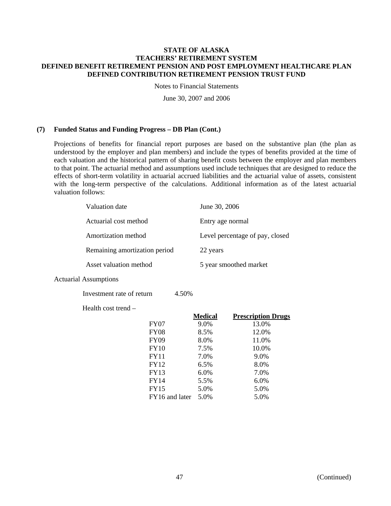Notes to Financial Statements

June 30, 2007 and 2006

### **(7) Funded Status and Funding Progress – DB Plan (Cont.)**

Projections of benefits for financial report purposes are based on the substantive plan (the plan as understood by the employer and plan members) and include the types of benefits provided at the time of each valuation and the historical pattern of sharing benefit costs between the employer and plan members to that point. The actuarial method and assumptions used include techniques that are designed to reduce the effects of short-term volatility in actuarial accrued liabilities and the actuarial value of assets, consistent with the long-term perspective of the calculations. Additional information as of the latest actuarial valuation follows:

| Valuation date                | June 30, 2006                   |
|-------------------------------|---------------------------------|
| Actuarial cost method         | Entry age normal                |
| Amortization method           | Level percentage of pay, closed |
| Remaining amortization period | 22 years                        |
| Asset valuation method        | 5 year smoothed market          |

Actuarial Assumptions

Investment rate of return 4.50%

Health cost trend –

|                | <b>Medical</b> | <b>Prescription Drugs</b> |
|----------------|----------------|---------------------------|
| <b>FY07</b>    | 9.0%           | 13.0%                     |
| <b>FY08</b>    | 8.5%           | 12.0%                     |
| <b>FY09</b>    | 8.0%           | 11.0%                     |
| <b>FY10</b>    | 7.5%           | 10.0%                     |
| <b>FY11</b>    | 7.0%           | 9.0%                      |
| FY12           | 6.5%           | 8.0%                      |
| <b>FY13</b>    | 6.0%           | 7.0%                      |
| FY14           | 5.5%           | 6.0%                      |
| <b>FY15</b>    | 5.0%           | 5.0%                      |
| FY16 and later | 5.0%           | 5.0%                      |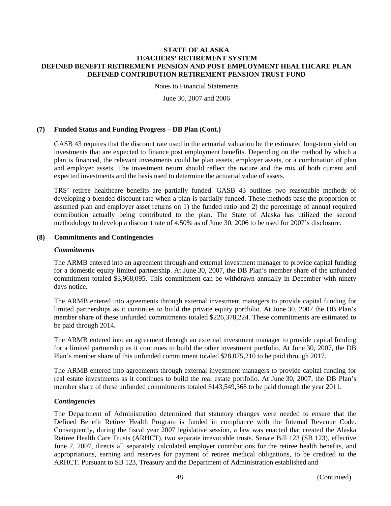Notes to Financial Statements

June 30, 2007 and 2006

### **(7) Funded Status and Funding Progress – DB Plan (Cont.)**

GASB 43 requires that the discount rate used in the actuarial valuation be the estimated long-term yield on investments that are expected to finance post employment benefits. Depending on the method by which a plan is financed, the relevant investments could be plan assets, employer assets, or a combination of plan and employer assets. The investment return should reflect the nature and the mix of both current and expected investments and the basis used to determine the actuarial value of assets.

TRS' retiree healthcare benefits are partially funded. GASB 43 outlines two reasonable methods of developing a blended discount rate when a plan is partially funded. These methods base the proportion of assumed plan and employer asset returns on 1) the funded ratio and 2) the percentage of annual required contribution actually being contributed to the plan. The State of Alaska has utilized the second methodology to develop a discount rate of 4.50% as of June 30, 2006 to be used for 2007's disclosure.

## **(8) Commitments and Contingencies**

#### *Commitments*

The ARMB entered into an agreement through and external investment manager to provide capital funding for a domestic equity limited partnership. At June 30, 2007, the DB Plan's member share of the unfunded commitment totaled \$3,968,095. This commitment can be withdrawn annually in December with ninety days notice.

The ARMB entered into agreements through external investment managers to provide capital funding for limited partnerships as it continues to build the private equity portfolio. At June 30, 2007 the DB Plan's member share of these unfunded commitments totaled \$226,378,224. These commitments are estimated to be paid through 2014.

The ARMB entered into an agreement through an external investment manager to provide capital funding for a limited partnership as it continues to build the other investment portfolio. At June 30, 2007, the DB Plan's member share of this unfunded commitment totaled \$28,075,210 to be paid through 2017.

The ARMB entered into agreements through external investment managers to provide capital funding for real estate investments as it continues to build the real estate portfolio. At June 30, 2007, the DB Plan's member share of these unfunded commitments totaled \$143,549,368 to be paid through the year 2011.

## *Contingencies*

The Department of Administration determined that statutory changes were needed to ensure that the Defined Benefit Retiree Health Program is funded in compliance with the Internal Revenue Code. Consequently, during the fiscal year 2007 legislative session, a law was enacted that created the Alaska Retiree Health Care Trusts (ARHCT), two separate irrevocable trusts. Senate Bill 123 (SB 123), effective June 7, 2007, directs all separately calculated employer contributions for the retiree health benefits, and appropriations, earning and reserves for payment of retiree medical obligations, to be credited to the ARHCT. Pursuant to SB 123, Treasury and the Department of Administration established and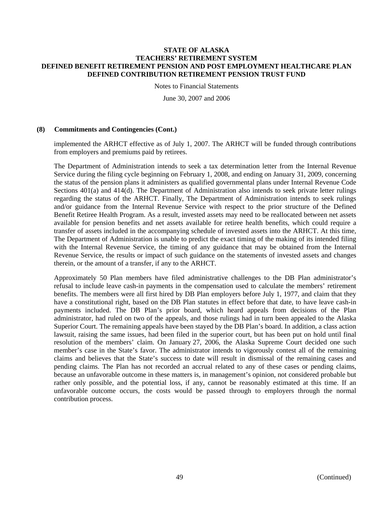Notes to Financial Statements

June 30, 2007 and 2006

#### **(8) Commitments and Contingencies (Cont.)**

implemented the ARHCT effective as of July 1, 2007. The ARHCT will be funded through contributions from employers and premiums paid by retirees.

The Department of Administration intends to seek a tax determination letter from the Internal Revenue Service during the filing cycle beginning on February 1, 2008, and ending on January 31, 2009, concerning the status of the pension plans it administers as qualified governmental plans under Internal Revenue Code Sections 401(a) and 414(d). The Department of Administration also intends to seek private letter rulings regarding the status of the ARHCT. Finally, The Department of Administration intends to seek rulings and/or guidance from the Internal Revenue Service with respect to the prior structure of the Defined Benefit Retiree Health Program. As a result, invested assets may need to be reallocated between net assets available for pension benefits and net assets available for retiree health benefits, which could require a transfer of assets included in the accompanying schedule of invested assets into the ARHCT. At this time, The Department of Administration is unable to predict the exact timing of the making of its intended filing with the Internal Revenue Service, the timing of any guidance that may be obtained from the Internal Revenue Service, the results or impact of such guidance on the statements of invested assets and changes therein, or the amount of a transfer, if any to the ARHCT.

Approximately 50 Plan members have filed administrative challenges to the DB Plan administrator's refusal to include leave cash-in payments in the compensation used to calculate the members' retirement benefits. The members were all first hired by DB Plan employers before July 1, 1977, and claim that they have a constitutional right, based on the DB Plan statutes in effect before that date, to have leave cash-in payments included. The DB Plan's prior board, which heard appeals from decisions of the Plan administrator, had ruled on two of the appeals, and those rulings had in turn been appealed to the Alaska Superior Court. The remaining appeals have been stayed by the DB Plan's board. In addition, a class action lawsuit, raising the same issues, had been filed in the superior court, but has been put on hold until final resolution of the members' claim. On January 27, 2006, the Alaska Supreme Court decided one such member's case in the State's favor. The administrator intends to vigorously contest all of the remaining claims and believes that the State's success to date will result in dismissal of the remaining cases and pending claims. The Plan has not recorded an accrual related to any of these cases or pending claims, because an unfavorable outcome in these matters is, in management's opinion, not considered probable but rather only possible, and the potential loss, if any, cannot be reasonably estimated at this time. If an unfavorable outcome occurs, the costs would be passed through to employers through the normal contribution process.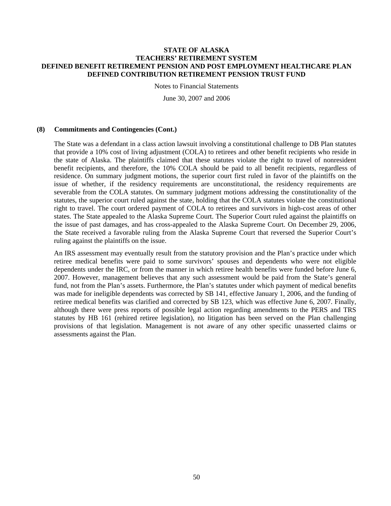Notes to Financial Statements

June 30, 2007 and 2006

#### **(8) Commitments and Contingencies (Cont.)**

The State was a defendant in a class action lawsuit involving a constitutional challenge to DB Plan statutes that provide a 10% cost of living adjustment (COLA) to retirees and other benefit recipients who reside in the state of Alaska. The plaintiffs claimed that these statutes violate the right to travel of nonresident benefit recipients, and therefore, the 10% COLA should be paid to all benefit recipients, regardless of residence. On summary judgment motions, the superior court first ruled in favor of the plaintiffs on the issue of whether, if the residency requirements are unconstitutional, the residency requirements are severable from the COLA statutes. On summary judgment motions addressing the constitutionality of the statutes, the superior court ruled against the state, holding that the COLA statutes violate the constitutional right to travel. The court ordered payment of COLA to retirees and survivors in high-cost areas of other states. The State appealed to the Alaska Supreme Court. The Superior Court ruled against the plaintiffs on the issue of past damages, and has cross-appealed to the Alaska Supreme Court. On December 29, 2006, the State received a favorable ruling from the Alaska Supreme Court that reversed the Superior Court's ruling against the plaintiffs on the issue.

An IRS assessment may eventually result from the statutory provision and the Plan's practice under which retiree medical benefits were paid to some survivors' spouses and dependents who were not eligible dependents under the IRC, or from the manner in which retiree health benefits were funded before June 6, 2007. However, management believes that any such assessment would be paid from the State's general fund, not from the Plan's assets. Furthermore, the Plan's statutes under which payment of medical benefits was made for ineligible dependents was corrected by SB 141, effective January 1, 2006, and the funding of retiree medical benefits was clarified and corrected by SB 123, which was effective June 6, 2007. Finally, although there were press reports of possible legal action regarding amendments to the PERS and TRS statutes by HB 161 (rehired retiree legislation), no litigation has been served on the Plan challenging provisions of that legislation. Management is not aware of any other specific unasserted claims or assessments against the Plan.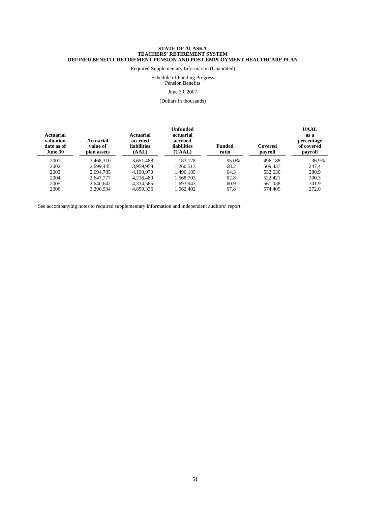Required Supplementary Information (Unaudited)

#### Schedule of Funding Progress Pension Benefits

June 30, 2007

(Dollars in thousands)

| <b>Actuarial</b><br>valuation<br>date as of<br>June 30 | <b>Actuarial</b><br>value of<br>plan assets | <b>Actuarial</b><br>accrued<br><b>liabilities</b><br>(AAL) | Unfunded<br>actuarial<br>accrued<br><b>liabilities</b><br>(UAAL) | <b>Funded</b><br>ratio | Covered<br>payroll | <b>UAAL</b><br>as a<br>percentage<br>of covered<br>payroll |
|--------------------------------------------------------|---------------------------------------------|------------------------------------------------------------|------------------------------------------------------------------|------------------------|--------------------|------------------------------------------------------------|
| 2001                                                   | 3.468.310                                   | 3,651,488                                                  | 183.178                                                          | 95.0%                  | 496.188            | 36.9%                                                      |
| 2002                                                   | 2.699.445                                   | 3.959.958                                                  | 1.260.513                                                        | 68.2                   | 509,437            | 247.4                                                      |
| 2003                                                   | 2.694.785                                   | 4.190.970                                                  | 1.496.185                                                        | 64.3                   | 532,630            | 280.9                                                      |
| 2004                                                   | 2.647.777                                   | 4.216.480                                                  | 1,568,703                                                        | 62.8                   | 522.421            | 300.3                                                      |
| 2005                                                   | 2.640.642                                   | 4.334.585                                                  | 1.693.943                                                        | 60.9                   | 561.038            | 301.9                                                      |
| 2006                                                   | 3.296.934                                   | 4.859.336                                                  | 1.562.402                                                        | 67.8                   | 574,409            | 272.0                                                      |

See accompanying notes to required supplementary information and independent auditors' report.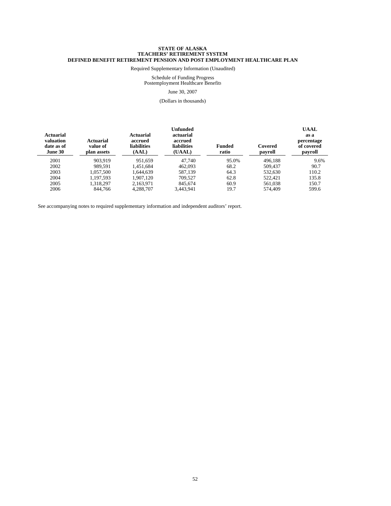Required Supplementary Information (Unaudited)

#### Schedule of Funding Progress Postemployment Healthcare Benefits June 30, 2007

(Dollars in thousands)

| <b>Actuarial</b><br>valuation<br>date as of<br>June 30 | <b>Actuarial</b><br>value of<br>plan assets | <b>Actuarial</b><br>accrued<br><b>liabilities</b><br>(AAL) | Unfunded<br>actuarial<br>accrued<br><b>liabilities</b><br>(UAAL) | <b>Funded</b><br>ratio | Covered<br>payroll | <b>UAAL</b><br>as a<br>percentage<br>of covered<br>payroll |
|--------------------------------------------------------|---------------------------------------------|------------------------------------------------------------|------------------------------------------------------------------|------------------------|--------------------|------------------------------------------------------------|
| 2001                                                   | 903.919                                     | 951.659                                                    | 47.740                                                           | 95.0%                  | 496.188            | 9.6%                                                       |
| 2002                                                   | 989.591                                     | 1.451.684                                                  | 462,093                                                          | 68.2                   | 509,437            | 90.7                                                       |
| 2003                                                   | 1.057.500                                   | 1.644.639                                                  | 587.139                                                          | 64.3                   | 532,630            | 110.2                                                      |
| 2004                                                   | 1.197.593                                   | 1.907.120                                                  | 709.527                                                          | 62.8                   | 522.421            | 135.8                                                      |
| 2005                                                   | 1.318.297                                   | 2,163,971                                                  | 845.674                                                          | 60.9                   | 561.038            | 150.7                                                      |
| 2006                                                   | 844,766                                     | 4,288,707                                                  | 3.443.941                                                        | 19.7                   | 574,409            | 599.6                                                      |

See accompanying notes to required supplementary information and independent auditors' report.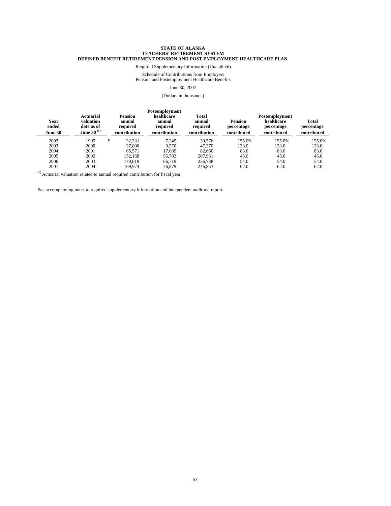Required Supplementary Information (Unaudited)

Schedule of Contributions from Employers Pension and Postemployment Healthcare Benefits

#### June 30, 2007

#### (Dollars in thousands)

| Year<br>ended<br><b>June 30</b> | Actuarial<br>valuation<br>date as of<br>June 30 $^{(1)}$ | <b>Pension</b><br>annual<br>required<br>contribution | Postemployment<br>healthcare<br>annual<br>required<br>contribution | <b>Total</b><br>annual<br>required<br>contribution | <b>Pension</b><br>percentage<br>contributed | Postemployment<br>healthcare<br>percentage<br>contributed | <b>Total</b><br>percentage<br>contributed |
|---------------------------------|----------------------------------------------------------|------------------------------------------------------|--------------------------------------------------------------------|----------------------------------------------------|---------------------------------------------|-----------------------------------------------------------|-------------------------------------------|
| 2002                            | 1999                                                     | \$<br>32.331                                         | 7.245                                                              | 39.576                                             | 155.0%                                      | 155.0%                                                    | 155.0%                                    |
| 2003                            | 2000                                                     | 37,800                                               | 9.570                                                              | 47,370                                             | 133.0                                       | 133.0                                                     | 133.0                                     |
| 2004                            | 2001                                                     | 65.571                                               | 17.089                                                             | 82,660                                             | 83.0                                        | 83.0                                                      | 83.0                                      |
| 2005                            | 2002                                                     | 152.168                                              | 55.783                                                             | 207.951                                            | 45.0                                        | 45.0                                                      | 45.0                                      |
| 2006                            | 2003                                                     | 170.019                                              | 66.719                                                             | 236,738                                            | 54.0                                        | 54.0                                                      | 54.0                                      |
| 2007                            | 2004                                                     | 169.974                                              | 76.879                                                             | 246,853                                            | 62.0                                        | 62.0                                                      | 62.0                                      |

 $(1)$  Actuarial valuation related to annual required contribution for fiscal year.

See accompanying notes to required supplementary information and independent auditors' report.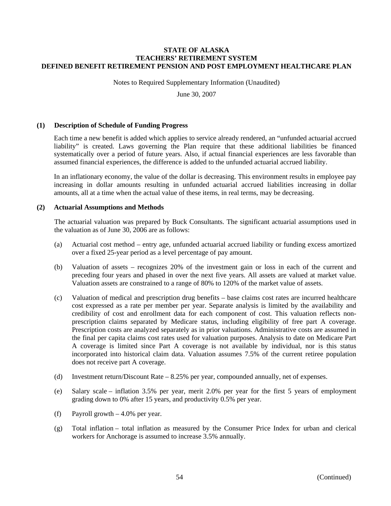Notes to Required Supplementary Information (Unaudited)

June 30, 2007

#### **(1) Description of Schedule of Funding Progress**

Each time a new benefit is added which applies to service already rendered, an "unfunded actuarial accrued liability" is created. Laws governing the Plan require that these additional liabilities be financed systematically over a period of future years. Also, if actual financial experiences are less favorable than assumed financial experiences, the difference is added to the unfunded actuarial accrued liability.

In an inflationary economy, the value of the dollar is decreasing. This environment results in employee pay increasing in dollar amounts resulting in unfunded actuarial accrued liabilities increasing in dollar amounts, all at a time when the actual value of these items, in real terms, may be decreasing.

### **(2) Actuarial Assumptions and Methods**

The actuarial valuation was prepared by Buck Consultants. The significant actuarial assumptions used in the valuation as of June 30, 2006 are as follows:

- (a) Actuarial cost method entry age, unfunded actuarial accrued liability or funding excess amortized over a fixed 25-year period as a level percentage of pay amount.
- (b) Valuation of assets recognizes 20% of the investment gain or loss in each of the current and preceding four years and phased in over the next five years. All assets are valued at market value. Valuation assets are constrained to a range of 80% to 120% of the market value of assets.
- (c) Valuation of medical and prescription drug benefits base claims cost rates are incurred healthcare cost expressed as a rate per member per year. Separate analysis is limited by the availability and credibility of cost and enrollment data for each component of cost. This valuation reflects nonprescription claims separated by Medicare status, including eligibility of free part A coverage. Prescription costs are analyzed separately as in prior valuations. Administrative costs are assumed in the final per capita claims cost rates used for valuation purposes. Analysis to date on Medicare Part A coverage is limited since Part A coverage is not available by individual, nor is this status incorporated into historical claim data. Valuation assumes 7.5% of the current retiree population does not receive part A coverage.
- (d) Investment return/Discount Rate 8.25% per year, compounded annually, net of expenses.
- (e) Salary scale inflation 3.5% per year, merit 2.0% per year for the first 5 years of employment grading down to 0% after 15 years, and productivity 0.5% per year.
- (f) Payroll growth 4.0% per year.
- (g) Total inflation total inflation as measured by the Consumer Price Index for urban and clerical workers for Anchorage is assumed to increase 3.5% annually.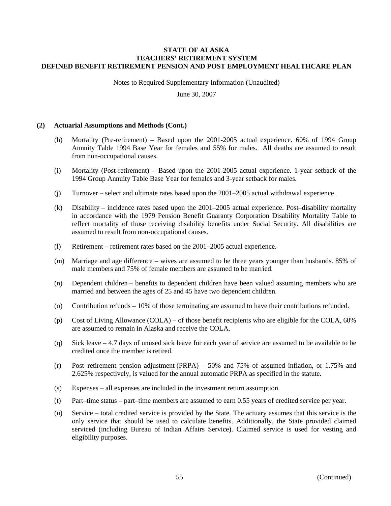Notes to Required Supplementary Information (Unaudited)

June 30, 2007

#### **(2) Actuarial Assumptions and Methods (Cont.)**

- (h) Mortality (Pre-retirement) Based upon the 2001-2005 actual experience. 60% of 1994 Group Annuity Table 1994 Base Year for females and 55% for males. All deaths are assumed to result from non-occupational causes.
- (i) Mortality (Post-retirement) Based upon the 2001-2005 actual experience. 1-year setback of the 1994 Group Annuity Table Base Year for females and 3-year setback for males.
- (j) Turnover select and ultimate rates based upon the 2001–2005 actual withdrawal experience.
- (k) Disability incidence rates based upon the 2001–2005 actual experience. Post–disability mortality in accordance with the 1979 Pension Benefit Guaranty Corporation Disability Mortality Table to reflect mortality of those receiving disability benefits under Social Security. All disabilities are assumed to result from non-occupational causes.
- (l) Retirement retirement rates based on the 2001–2005 actual experience.
- (m) Marriage and age difference wives are assumed to be three years younger than husbands. 85% of male members and 75% of female members are assumed to be married.
- (n) Dependent children benefits to dependent children have been valued assuming members who are married and between the ages of 25 and 45 have two dependent children.
- (o) Contribution refunds 10% of those terminating are assumed to have their contributions refunded.
- (p) Cost of Living Allowance (COLA) of those benefit recipients who are eligible for the COLA, 60% are assumed to remain in Alaska and receive the COLA.
- (q) Sick leave 4.7 days of unused sick leave for each year of service are assumed to be available to be credited once the member is retired.
- (r) Post–retirement pension adjustment (PRPA) 50% and 75% of assumed inflation, or 1.75% and 2.625% respectively, is valued for the annual automatic PRPA as specified in the statute.
- (s) Expenses all expenses are included in the investment return assumption.
- (t) Part–time status part–time members are assumed to earn 0.55 years of credited service per year.
- (u) Service total credited service is provided by the State. The actuary assumes that this service is the only service that should be used to calculate benefits. Additionally, the State provided claimed serviced (including Bureau of Indian Affairs Service). Claimed service is used for vesting and eligibility purposes.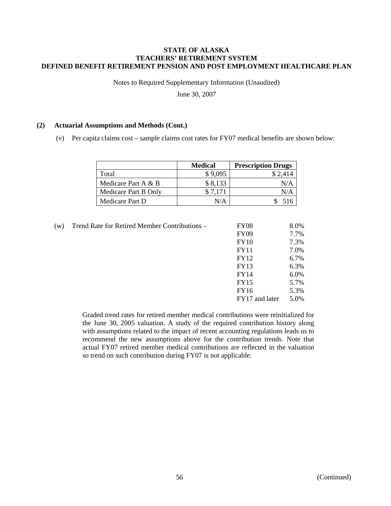Notes to Required Supplementary Information (Unaudited)

June 30, 2007

#### **(2) Actuarial Assumptions and Methods (Cont.)**

(v) Per capita claims cost – sample claims cost rates for FY07 medical benefits are shown below:

|                      | <b>Medical</b> | <b>Prescription Drugs</b> |
|----------------------|----------------|---------------------------|
| Total                | \$9,095        | \$2,414                   |
| Medicare Part A & B  | \$8,133        | N/A                       |
| Medicare Part B Only | \$7.171        | N/A                       |
| Medicare Part D      | N/A            | 516                       |

| w) | Trend Rate for Retired Member Contributions - | <b>FY08</b>    | 8.0% |
|----|-----------------------------------------------|----------------|------|
|    |                                               | <b>FY09</b>    | 7.7% |
|    |                                               | <b>FY10</b>    | 7.3% |
|    |                                               | <b>FY11</b>    | 7.0% |
|    |                                               | FY12           | 6.7% |
|    |                                               | <b>FY13</b>    | 6.3% |
|    |                                               | <b>FY14</b>    | 6.0% |
|    |                                               | <b>FY15</b>    | 5.7% |
|    |                                               | <b>FY16</b>    | 5.3% |
|    |                                               | FY17 and later | 5.0% |
|    |                                               |                |      |

Graded trend rates for retired member medical contributions were reinitialized for the June 30, 2005 valuation. A study of the required contribution history along with assumptions related to the impact of recent accounting regulations leads us to recommend the new assumptions above for the contribution trends. Note that actual FY07 retired member medical contributions are reflected in the valuation so trend on such contribution during FY07 is not applicable.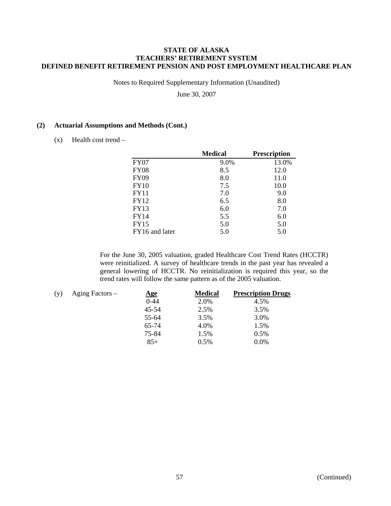Notes to Required Supplementary Information (Unaudited)

June 30, 2007

### **(2) Actuarial Assumptions and Methods (Cont.)**

 $(x)$  Health cost trend –

|                | <b>Medical</b> | <b>Prescription</b> |
|----------------|----------------|---------------------|
| FY07           | 9.0%           | 13.0%               |
| <b>FY08</b>    | 8.5            | 12.0                |
| <b>FY09</b>    | 8.0            | 11.0                |
| FY10           | 7.5            | 10.0                |
| <b>FY11</b>    | 7.0            | 9.0                 |
| <b>FY12</b>    | 6.5            | 8.0                 |
| <b>FY13</b>    | 6.0            | 7.0                 |
| FY14           | 5.5            | 6.0                 |
| <b>FY15</b>    | 5.0            | 5.0                 |
| FY16 and later | 5.0            | 5.0                 |

For the June 30, 2005 valuation, graded Healthcare Cost Trend Rates (HCCTR) were reinitialized. A survey of healthcare trends in the past year has revealed a general lowering of HCCTR. No reinitialization is required this year, so the trend rates will follow the same pattern as of the 2005 valuation.

| (v) | Aging Factors – | $\mathbf{Age}$ | <b>Medical</b> | <b>Prescription Drugs</b> |
|-----|-----------------|----------------|----------------|---------------------------|
|     |                 | $0 - 44$       | 2.0%           | 4.5%                      |
|     |                 | $45 - 54$      | 2.5%           | 3.5%                      |
|     |                 | 55-64          | 3.5%           | 3.0%                      |
|     |                 | 65-74          | 4.0%           | 1.5%                      |
|     |                 | 75-84          | 1.5%           | 0.5%                      |
|     |                 | $85+$          | 0.5%           | $0.0\%$                   |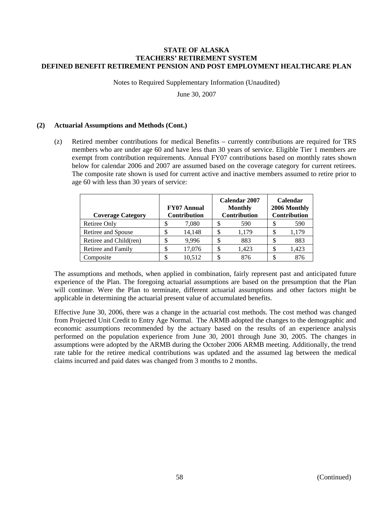Notes to Required Supplementary Information (Unaudited)

June 30, 2007

## **(2) Actuarial Assumptions and Methods (Cont.)**

(z) Retired member contributions for medical Benefits – currently contributions are required for TRS members who are under age 60 and have less than 30 years of service. Eligible Tier 1 members are exempt from contribution requirements. Annual FY07 contributions based on monthly rates shown below for calendar 2006 and 2007 are assumed based on the coverage category for current retirees. The composite rate shown is used for current active and inactive members assumed to retire prior to age 60 with less than 30 years of service:

| <b>Coverage Category</b> | Calendar 2007<br><b>FY07 Annual</b><br><b>Monthly</b><br>Contribution<br><b>Contribution</b> |        | <b>Calendar</b><br>2006 Monthly<br>Contribution |       |    |       |
|--------------------------|----------------------------------------------------------------------------------------------|--------|-------------------------------------------------|-------|----|-------|
| <b>Retiree Only</b>      |                                                                                              | 7,080  | S                                               | 590   |    | 590   |
| Retiree and Spouse       |                                                                                              | 14,148 | S                                               | 1.179 |    | 1,179 |
| Retiree and Child(ren)   |                                                                                              | 9.996  | S                                               | 883   |    | 883   |
| Retiree and Family       | Φ                                                                                            | 17,076 | \$                                              | 1.423 | \$ | 1,423 |
| Composite                |                                                                                              | 10.512 |                                                 | 876   |    | 876   |

The assumptions and methods, when applied in combination, fairly represent past and anticipated future experience of the Plan. The foregoing actuarial assumptions are based on the presumption that the Plan will continue. Were the Plan to terminate, different actuarial assumptions and other factors might be applicable in determining the actuarial present value of accumulated benefits.

Effective June 30, 2006, there was a change in the actuarial cost methods. The cost method was changed from Projected Unit Credit to Entry Age Normal. The ARMB adopted the changes to the demographic and economic assumptions recommended by the actuary based on the results of an experience analysis performed on the population experience from June 30, 2001 through June 30, 2005. The changes in assumptions were adopted by the ARMB during the October 2006 ARMB meeting. Additionally, the trend rate table for the retiree medical contributions was updated and the assumed lag between the medical claims incurred and paid dates was changed from 3 months to 2 months.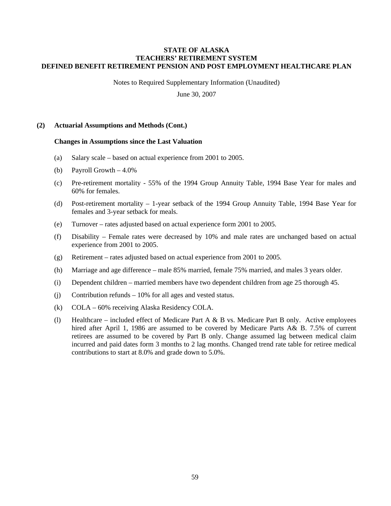Notes to Required Supplementary Information (Unaudited)

June 30, 2007

#### **(2) Actuarial Assumptions and Methods (Cont.)**

#### **Changes in Assumptions since the Last Valuation**

- (a) Salary scale based on actual experience from 2001 to 2005.
- (b) Payroll Growth 4.0%
- (c) Pre-retirement mortality 55% of the 1994 Group Annuity Table, 1994 Base Year for males and 60% for females.
- (d) Post-retirement mortality 1-year setback of the 1994 Group Annuity Table, 1994 Base Year for females and 3-year setback for meals.
- (e) Turnover rates adjusted based on actual experience form 2001 to 2005.
- (f) Disability Female rates were decreased by 10% and male rates are unchanged based on actual experience from 2001 to 2005.
- (g) Retirement rates adjusted based on actual experience from 2001 to 2005.
- (h) Marriage and age difference male 85% married, female 75% married, and males 3 years older.
- (i) Dependent children married members have two dependent children from age 25 thorough 45.
- (j) Contribution refunds 10% for all ages and vested status.
- (k) COLA 60% receiving Alaska Residency COLA.
- (l) Healthcare included effect of Medicare Part A & B vs. Medicare Part B only. Active employees hired after April 1, 1986 are assumed to be covered by Medicare Parts A& B. 7.5% of current retirees are assumed to be covered by Part B only. Change assumed lag between medical claim incurred and paid dates form 3 months to 2 lag months. Changed trend rate table for retiree medical contributions to start at 8.0% and grade down to 5.0%.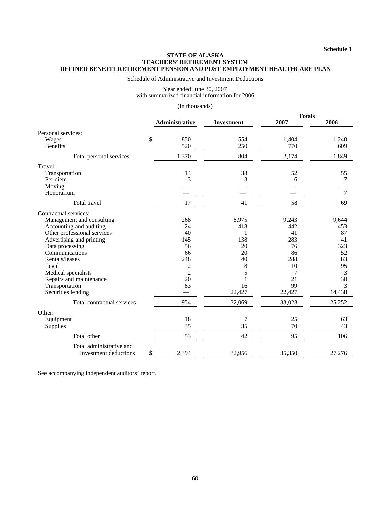Schedule of Administrative and Investment Deductions

Year ended June 30, 2007 with summarized financial information for 2006

#### (In thousands)

|                              |                |                   | <b>Totals</b> |        |  |
|------------------------------|----------------|-------------------|---------------|--------|--|
|                              | Administrative | <b>Investment</b> | 2007          | 2006   |  |
| Personal services:           |                |                   |               |        |  |
| Wages                        | \$<br>850      | 554               | 1,404         | 1,240  |  |
| <b>Benefits</b>              | 520            | 250               | 770           | 609    |  |
| Total personal services      | 1,370          | 804               | 2,174         | 1,849  |  |
| Travel:                      |                |                   |               |        |  |
| Transportation               | 14             | 38                | 52            | 55     |  |
| Per diem                     | 3              | 3                 | 6             | 7      |  |
| Moving                       |                |                   |               |        |  |
| Honorarium                   |                |                   |               | 7      |  |
| Total travel                 | 17             | 41                | 58            | 69     |  |
| Contractual services:        |                |                   |               |        |  |
| Management and consulting    | 268            | 8,975             | 9,243         | 9,644  |  |
| Accounting and auditing      | 24             | 418               | 442           | 453    |  |
| Other professional services  | 40             | 1                 | 41            | 87     |  |
| Advertising and printing     | 145            | 138               | 283           | 41     |  |
| Data processing              | 56             | 20                | 76            | 323    |  |
| Communications               | 66             | 20                | 86            | 52     |  |
| Rentals/leases               | 248            | 40                | 288           | 83     |  |
| Legal                        | $\overline{c}$ | 8                 | 10            | 95     |  |
| Medical specialists          | $\overline{c}$ | 5                 | 7             | 3      |  |
| Repairs and maintenance      | 20             |                   | 21            | 30     |  |
| Transportation               | 83             | 16                | 99            | 3      |  |
| Securities lending           |                | 22,427            | 22,427        | 14,438 |  |
| Total contractual services   | 954            | 32,069            | 33,023        | 25,252 |  |
| Other:                       |                |                   |               |        |  |
| Equipment                    | 18             | 7                 | 25            | 63     |  |
| Supplies                     | 35             | 35                | 70            | 43     |  |
| Total other                  | 53             | 42                | 95            | 106    |  |
| Total administrative and     |                |                   |               |        |  |
| <b>Investment</b> deductions | \$<br>2,394    | 32,956            | 35,350        | 27,276 |  |

See accompanying independent auditors' report.